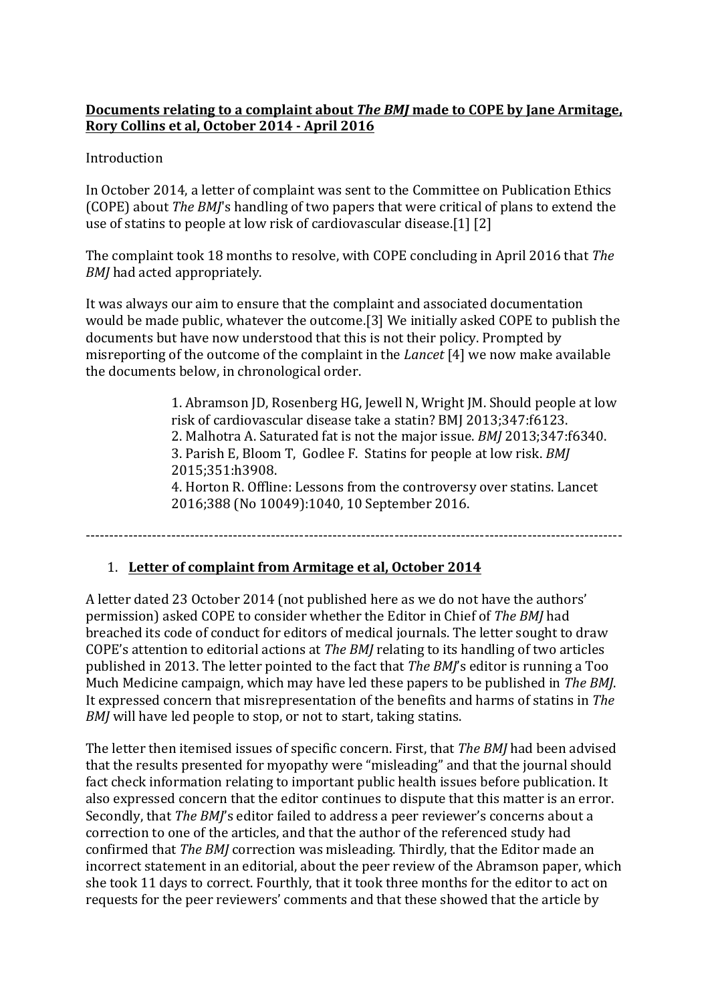#### **Documents relating to a complaint about The BMJ made to COPE by Jane Armitage,** Rory Collins et al, October 2014 - April 2016

Introduction

In October 2014, a letter of complaint was sent to the Committee on Publication Ethics (COPE) about *The BMJ's* handling of two papers that were critical of plans to extend the use of statins to people at low risk of cardiovascular disease.[1]  $[2]$ 

The complaint took 18 months to resolve, with COPE concluding in April 2016 that *The BMJ* had acted appropriately.

It was always our aim to ensure that the complaint and associated documentation would be made public, whatever the outcome.[3] We initially asked COPE to publish the documents but have now understood that this is not their policy. Prompted by misreporting of the outcome of the complaint in the *Lancet* [4] we now make available the documents below, in chronological order.

> 1. Abramson JD, Rosenberg HG, Jewell N, Wright JM. Should people at low risk of cardiovascular disease take a statin? BMJ 2013;347:f6123. 2. Malhotra A. Saturated fat is not the major issue. *BMJ* 2013;347:f6340. 3. Parish E, Bloom T, Godlee F. Statins for people at low risk. *BMJ* 2015;351:h3908. 4. Horton R. Offline: Lessons from the controversy over statins. Lancet

2016;388 (No 10049):1040, 10 September 2016.

-----------------------------------------------------------------------------------------------------------------

## 1. Letter of complaint from Armitage et al, October 2014

A letter dated 23 October 2014 (not published here as we do not have the authors' permission) asked COPE to consider whether the Editor in Chief of *The BMJ* had breached its code of conduct for editors of medical journals. The letter sought to draw COPE's attention to editorial actions at *The BMJ* relating to its handling of two articles published in 2013. The letter pointed to the fact that *The BMI*'s editor is running a Too Much Medicine campaign, which may have led these papers to be published in *The BMJ*. It expressed concern that misrepresentation of the benefits and harms of statins in *The BMJ* will have led people to stop, or not to start, taking statins.

The letter then itemised issues of specific concern. First, that *The BMJ* had been advised that the results presented for myopathy were "misleading" and that the journal should fact check information relating to important public health issues before publication. It also expressed concern that the editor continues to dispute that this matter is an error. Secondly, that *The BMJ*'s editor failed to address a peer reviewer's concerns about a correction to one of the articles, and that the author of the referenced study had confirmed that *The BMJ* correction was misleading. Thirdly, that the Editor made an incorrect statement in an editorial, about the peer review of the Abramson paper, which she took 11 days to correct. Fourthly, that it took three months for the editor to act on requests for the peer reviewers' comments and that these showed that the article by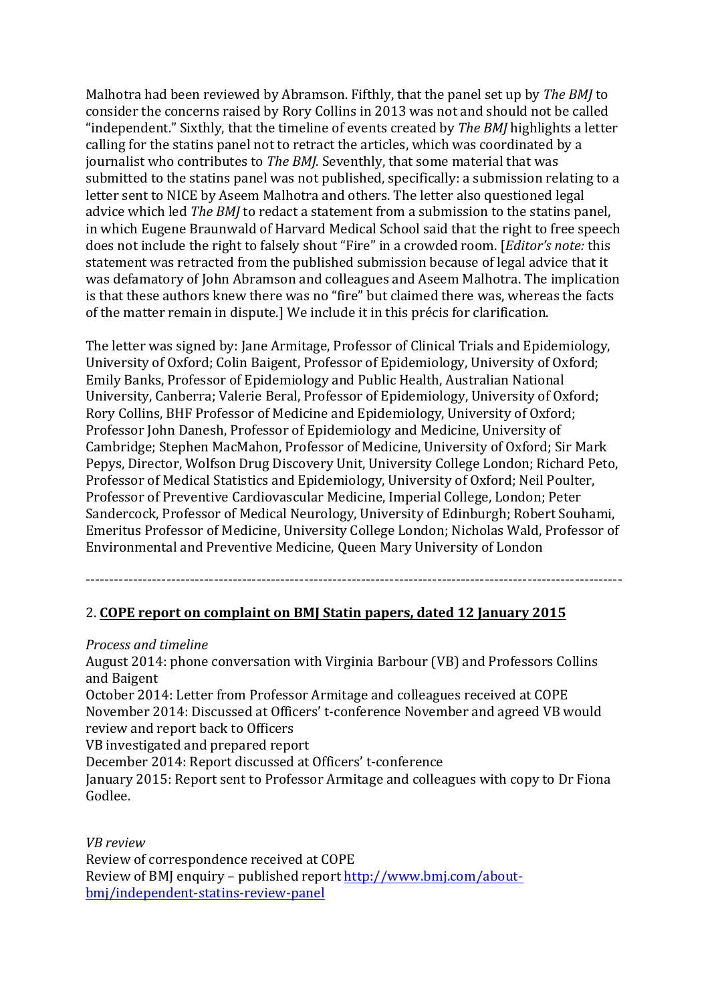Malhotra had been reviewed by Abramson. Fifthly, that the panel set up by *The BMJ* to consider the concerns raised by Rory Collins in 2013 was not and should not be called "independent." Sixthly, that the timeline of events created by *The BMJ* highlights a letter calling for the statins panel not to retract the articles, which was coordinated by a journalist who contributes to *The BMJ.* Seventhly, that some material that was submitted to the statins panel was not published, specifically: a submission relating to a letter sent to NICE by Aseem Malhotra and others. The letter also questioned legal advice which led *The BMJ* to redact a statement from a submission to the statins panel, in which Eugene Braunwald of Harvard Medical School said that the right to free speech does not include the right to falsely shout "Fire" in a crowded room. [*Editor's note:* this statement was retracted from the published submission because of legal advice that it was defamatory of John Abramson and colleagues and Aseem Malhotra. The implication is that these authors knew there was no "fire" but claimed there was, whereas the facts of the matter remain in dispute.] We include it in this précis for clarification.

The letter was signed by: Jane Armitage, Professor of Clinical Trials and Epidemiology, University of Oxford; Colin Baigent, Professor of Epidemiology, University of Oxford; Emily Banks, Professor of Epidemiology and Public Health, Australian National University, Canberra; Valerie Beral, Professor of Epidemiology, University of Oxford; Rory Collins, BHF Professor of Medicine and Epidemiology, University of Oxford; Professor John Danesh, Professor of Epidemiology and Medicine, University of Cambridge; Stephen MacMahon, Professor of Medicine, University of Oxford; Sir Mark Pepys, Director, Wolfson Drug Discovery Unit, University College London; Richard Peto, Professor of Medical Statistics and Epidemiology, University of Oxford; Neil Poulter, Professor of Preventive Cardiovascular Medicine, Imperial College, London; Peter Sandercock, Professor of Medical Neurology, University of Edinburgh; Robert Souhami, Emeritus Professor of Medicine, University College London; Nicholas Wald, Professor of Environmental and Preventive Medicine, Queen Mary University of London

#### -----------------------------------------------------------------------------------------------------------------

#### 2. COPE report on complaint on BMJ Statin papers, dated 12 January 2015

#### *Process and timeline*

August 2014: phone conversation with Virginia Barbour (VB) and Professors Collins and Baigent

October 2014: Letter from Professor Armitage and colleagues received at COPE November 2014: Discussed at Officers' t-conference November and agreed VB would review and report back to Officers

VB investigated and prepared report

December 2014: Report discussed at Officers' t-conference

January 2015: Report sent to Professor Armitage and colleagues with copy to Dr Fiona Godlee.

*VB review*

Review of correspondence received at COPE Review of BMJ enquiry – published report http://www.bmj.com/aboutbmj/independent-statins-review-panel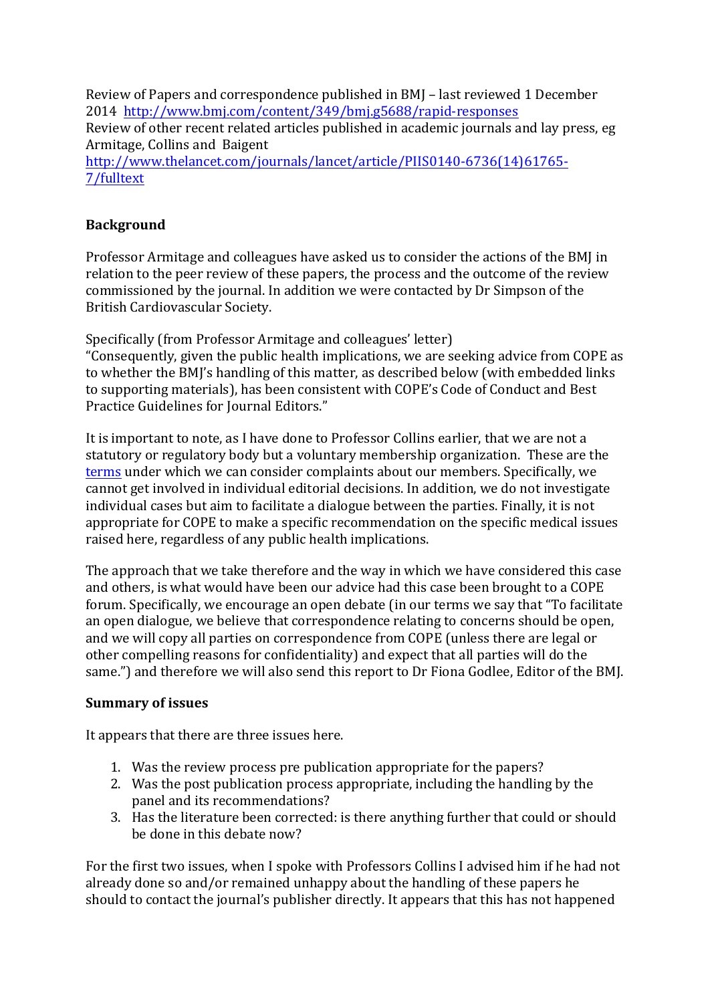Review of Papers and correspondence published in BMJ – last reviewed 1 December 2014 http://www.bmj.com/content/349/bmj.g5688/rapid-responses

Review of other recent related articles published in academic journals and lay press, eg Armitage, Collins and Baigent

http://www.thelancet.com/journals/lancet/article/PIIS0140-6736(14)61765- 7/fulltext

## **Background**

Professor Armitage and colleagues have asked us to consider the actions of the BMJ in relation to the peer review of these papers, the process and the outcome of the review commissioned by the journal. In addition we were contacted by Dr Simpson of the British Cardiovascular Society.

Specifically (from Professor Armitage and colleagues' letter) "Consequently, given the public health implications, we are seeking advice from COPE as to whether the BMJ's handling of this matter, as described below (with embedded links to supporting materials), has been consistent with COPE's Code of Conduct and Best Practice Guidelines for Journal Editors."

It is important to note, as I have done to Professor Collins earlier, that we are not a statutory or regulatory body but a voluntary membership organization. These are the terms under which we can consider complaints about our members. Specifically, we cannot get involved in individual editorial decisions. In addition, we do not investigate individual cases but aim to facilitate a dialogue between the parties. Finally, it is not appropriate for COPE to make a specific recommendation on the specific medical issues raised here, regardless of any public health implications.

The approach that we take therefore and the way in which we have considered this case and others, is what would have been our advice had this case been brought to a COPE forum. Specifically, we encourage an open debate (in our terms we say that "To facilitate an open dialogue, we believe that correspondence relating to concerns should be open, and we will copy all parties on correspondence from COPE (unless there are legal or other compelling reasons for confidentiality) and expect that all parties will do the same.") and therefore we will also send this report to Dr Fiona Godlee, Editor of the BMJ.

## **Summary of issues**

It appears that there are three issues here.

- 1. Was the review process pre publication appropriate for the papers?
- 2. Was the post publication process appropriate, including the handling by the panel and its recommendations?
- 3. Has the literature been corrected: is there anything further that could or should be done in this debate now?

For the first two issues, when I spoke with Professors Collins I advised him if he had not already done so and/or remained unhappy about the handling of these papers he should to contact the journal's publisher directly. It appears that this has not happened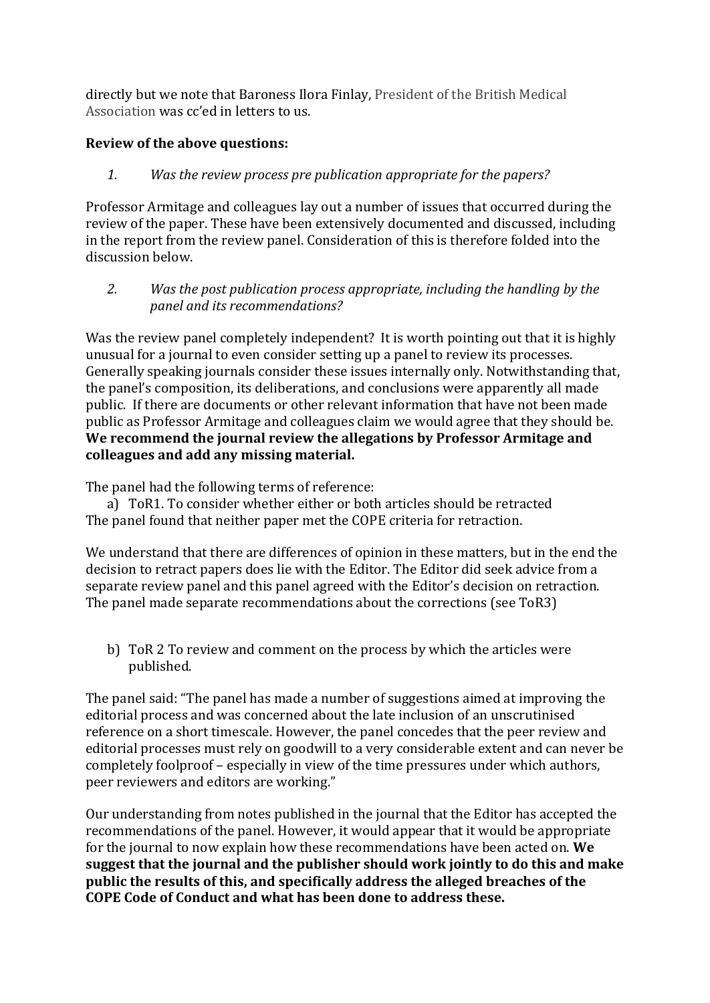directly but we note that Baroness Ilora Finlay, President of the British Medical Association was cc'ed in letters to us.

## **Review of the above questions:**

1. *Was the review process pre publication appropriate for the papers?* 

Professor Armitage and colleagues lay out a number of issues that occurred during the review of the paper. These have been extensively documented and discussed, including in the report from the review panel. Consideration of this is therefore folded into the discussion below.

2. *Was the post publication process appropriate, including the handling by the panel and its recommendations?*

Was the review panel completely independent? It is worth pointing out that it is highly unusual for a journal to even consider setting up a panel to review its processes. Generally speaking journals consider these issues internally only. Notwithstanding that, the panel's composition, its deliberations, and conclusions were apparently all made public. If there are documents or other relevant information that have not been made public as Professor Armitage and colleagues claim we would agree that they should be. We recommend the journal review the allegations by Professor Armitage and **colleagues and add any missing material.**

The panel had the following terms of reference:

a) ToR1. To consider whether either or both articles should be retracted The panel found that neither paper met the COPE criteria for retraction.

We understand that there are differences of opinion in these matters, but in the end the decision to retract papers does lie with the Editor. The Editor did seek advice from a separate review panel and this panel agreed with the Editor's decision on retraction. The panel made separate recommendations about the corrections (see ToR3)

b) ToR 2 To review and comment on the process by which the articles were published.

The panel said: "The panel has made a number of suggestions aimed at improving the editorial process and was concerned about the late inclusion of an unscrutinised reference on a short timescale. However, the panel concedes that the peer review and editorial processes must rely on goodwill to a very considerable extent and can never be completely foolproof – especially in view of the time pressures under which authors, peer reviewers and editors are working."

Our understanding from notes published in the journal that the Editor has accepted the recommendations of the panel. However, it would appear that it would be appropriate for the journal to now explain how these recommendations have been acted on. We suggest that the journal and the publisher should work jointly to do this and make **public** the results of this, and specifically address the alleged breaches of the **COPE Code of Conduct and what has been done to address these.**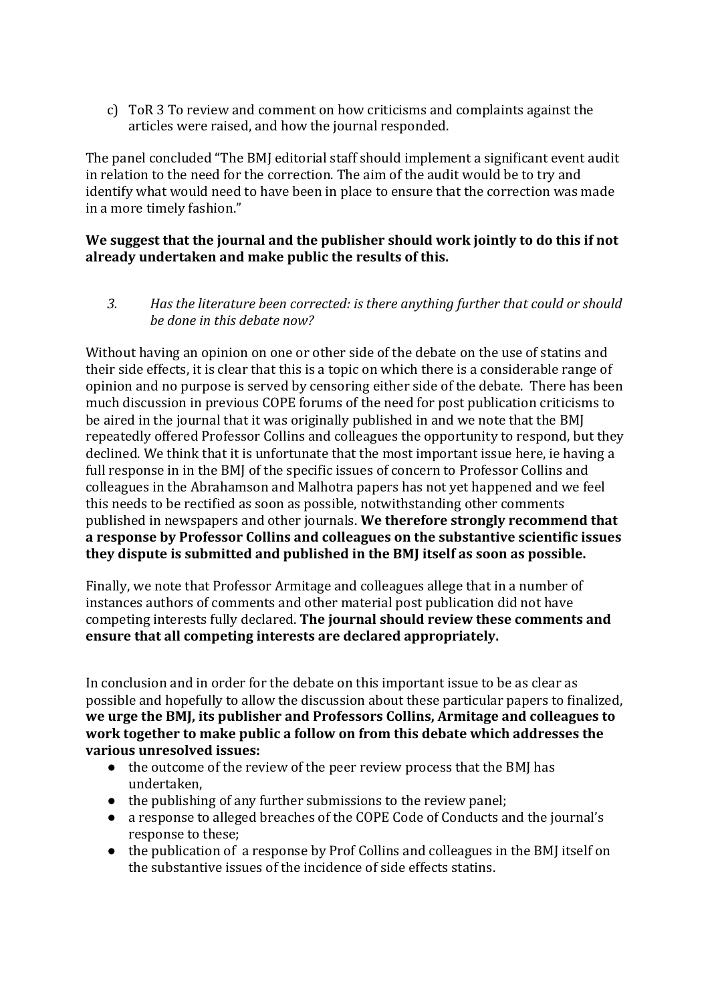c) ToR 3 To review and comment on how criticisms and complaints against the articles were raised, and how the journal responded.

The panel concluded "The BMJ editorial staff should implement a significant event audit in relation to the need for the correction. The aim of the audit would be to try and identify what would need to have been in place to ensure that the correction was made in a more timely fashion."

#### We suggest that the journal and the publisher should work jointly to do this if not already undertaken and make public the results of this.

3. *Has the literature been corrected:* is there anything further that could or should *be done in this debate now?* 

Without having an opinion on one or other side of the debate on the use of statins and their side effects, it is clear that this is a topic on which there is a considerable range of opinion and no purpose is served by censoring either side of the debate. There has been much discussion in previous COPE forums of the need for post publication criticisms to be aired in the journal that it was originally published in and we note that the BMI repeatedly offered Professor Collins and colleagues the opportunity to respond, but they declined. We think that it is unfortunate that the most important issue here, ie having a full response in in the BMJ of the specific issues of concern to Professor Collins and colleagues in the Abrahamson and Malhotra papers has not yet happened and we feel this needs to be rectified as soon as possible, notwithstanding other comments published in newspapers and other journals. We therefore strongly recommend that a response by Professor Collins and colleagues on the substantive scientific issues they dispute is submitted and published in the BMJ itself as soon as possible.

Finally, we note that Professor Armitage and colleagues allege that in a number of instances authors of comments and other material post publication did not have competing interests fully declared. The journal should review these comments and ensure that all competing interests are declared appropriately.

In conclusion and in order for the debate on this important issue to be as clear as possible and hopefully to allow the discussion about these particular papers to finalized, we urge the BMJ, its publisher and Professors Collins, Armitage and colleagues to work together to make public a follow on from this debate which addresses the **various unresolved issues:** 

- $\bullet$  the outcome of the review of the peer review process that the BMI has undertaken,
- $\bullet$  the publishing of any further submissions to the review panel;
- a response to alleged breaches of the COPE Code of Conducts and the journal's response to these;
- the publication of a response by Prof Collins and colleagues in the BMJ itself on the substantive issues of the incidence of side effects statins.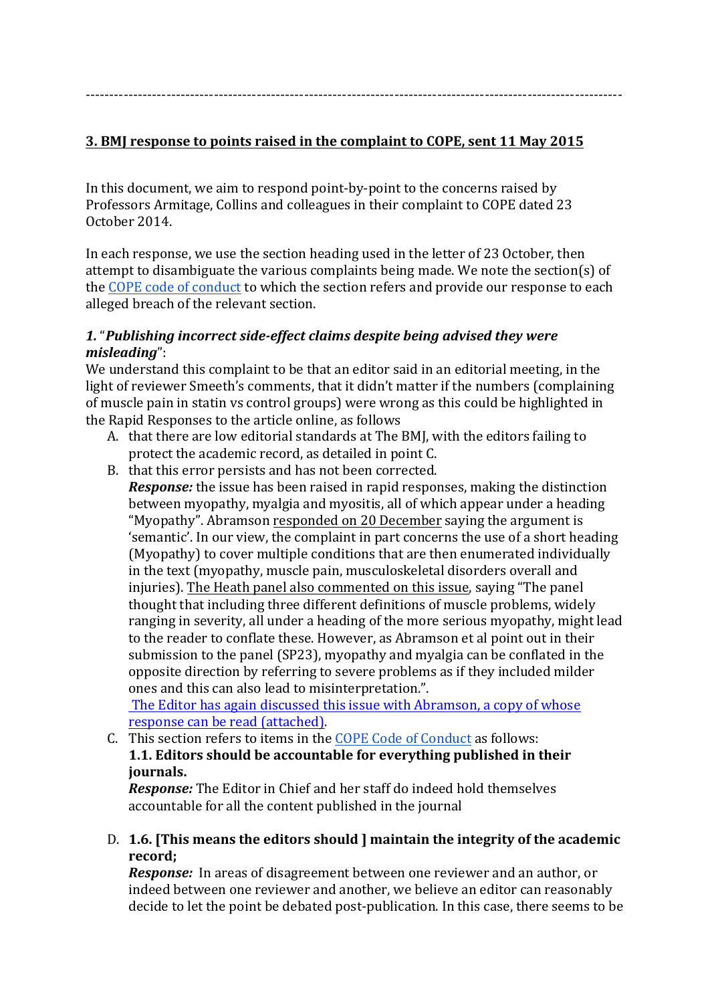-----------------------------------------------------------------------------------------------------------------

#### **3. BMJ** response to points raised in the complaint to COPE, sent 11 May 2015

In this document, we aim to respond point-by-point to the concerns raised by Professors Armitage, Collins and colleagues in their complaint to COPE dated 23 October 2014. 

In each response, we use the section heading used in the letter of 23 October, then attempt to disambiguate the various complaints being made. We note the section(s) of the COPE code of conduct to which the section refers and provide our response to each alleged breach of the relevant section.

#### 1. "Publishing incorrect side-effect claims despite being advised they were *misleading*":

We understand this complaint to be that an editor said in an editorial meeting, in the light of reviewer Smeeth's comments, that it didn't matter if the numbers (complaining of muscle pain in statin vs control groups) were wrong as this could be highlighted in the Rapid Responses to the article online, as follows

- A. that there are low editorial standards at The BMJ, with the editors failing to protect the academic record, as detailed in point C.
- B. that this error persists and has not been corrected.

*Response:* the issue has been raised in rapid responses, making the distinction between myopathy, myalgia and myositis, all of which appear under a heading "Myopathy". Abramson responded on 20 December saying the argument is 'semantic'. In our view, the complaint in part concerns the use of a short heading (Myopathy) to cover multiple conditions that are then enumerated individually in the text (myopathy, muscle pain, musculoskeletal disorders overall and injuries). The Heath panel also commented on this issue, saying "The panel thought that including three different definitions of muscle problems, widely ranging in severity, all under a heading of the more serious myopathy, might lead to the reader to conflate these. However, as Abramson et al point out in their submission to the panel (SP23), myopathy and myalgia can be conflated in the opposite direction by referring to severe problems as if they included milder ones and this can also lead to misinterpretation.".

The Editor has again discussed this issue with Abramson, a copy of whose response can be read (attached).

C. This section refers to items in the COPE Code of Conduct as follows: **1.1. Editors should be accountable for everything published in their journals.** 

*Response:* The Editor in Chief and her staff do indeed hold themselves accountable for all the content published in the journal

D. 1.6. [This means the editors should ] maintain the integrity of the academic **record;**

*Response:* In areas of disagreement between one reviewer and an author, or indeed between one reviewer and another, we believe an editor can reasonably decide to let the point be debated post-publication. In this case, there seems to be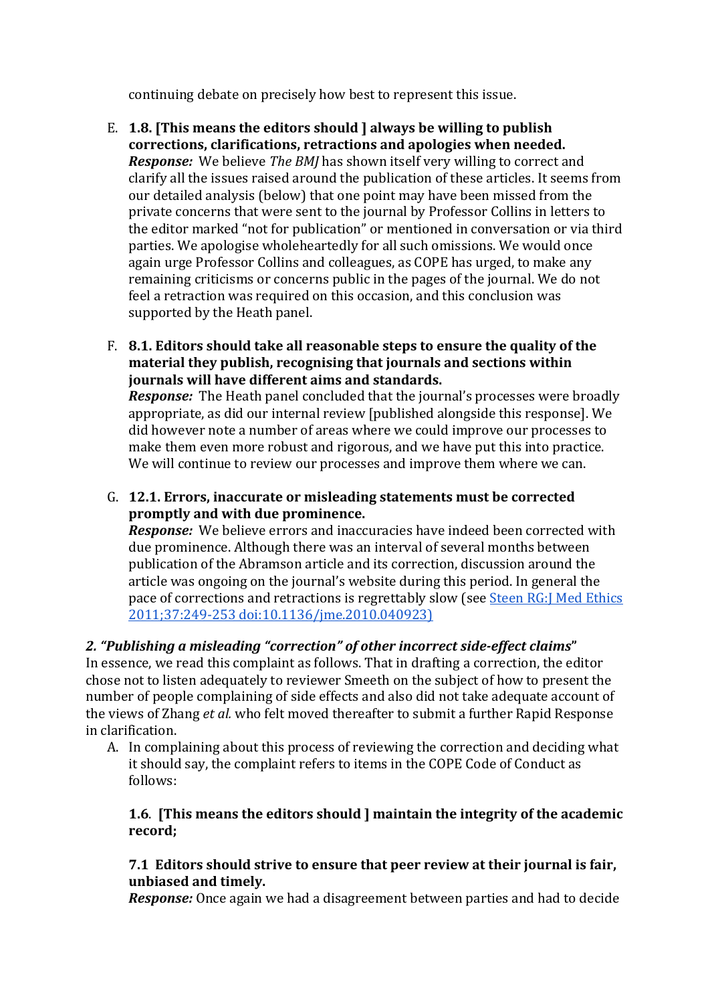continuing debate on precisely how best to represent this issue.

- E. 1.8. [This means the editors should I always be willing to publish corrections, clarifications, retractions and apologies when needed. *Response:* We believe *The BMJ* has shown itself very willing to correct and clarify all the issues raised around the publication of these articles. It seems from our detailed analysis (below) that one point may have been missed from the private concerns that were sent to the journal by Professor Collins in letters to the editor marked "not for publication" or mentioned in conversation or via third parties. We apologise wholeheartedly for all such omissions. We would once again urge Professor Collins and colleagues, as COPE has urged, to make any remaining criticisms or concerns public in the pages of the journal. We do not feel a retraction was required on this occasion, and this conclusion was supported by the Heath panel.
- F. 8.1. Editors should take all reasonable steps to ensure the quality of the **material they publish, recognising that journals and sections within journals** will have different aims and standards.

*Response:* The Heath panel concluded that the journal's processes were broadly appropriate, as did our internal review [published alongside this response]. We did however note a number of areas where we could improve our processes to make them even more robust and rigorous, and we have put this into practice. We will continue to review our processes and improve them where we can.

G. 12.1. Errors, inaccurate or misleading statements must be corrected **promptly and with due prominence.** 

*Response:* We believe errors and inaccuracies have indeed been corrected with due prominence. Although there was an interval of several months between publication of the Abramson article and its correction, discussion around the article was ongoing on the journal's website during this period. In general the pace of corrections and retractions is regrettably slow (see Steen RG:J Med Ethics 2011;37:249-253 doi:10.1136/jme.2010.040923)

## 2. "Publishing a misleading "correction" of other incorrect side-effect claims"

In essence, we read this complaint as follows. That in drafting a correction, the editor chose not to listen adequately to reviewer Smeeth on the subject of how to present the number of people complaining of side effects and also did not take adequate account of the views of Zhang *et al.* who felt moved thereafter to submit a further Rapid Response in clarification.

A. In complaining about this process of reviewing the correction and deciding what it should say, the complaint refers to items in the COPE Code of Conduct as follows: 

#### **1.6.** [This means the editors should ] maintain the integrity of the academic **record;**

#### **7.1 Editors should strive to ensure that peer review at their journal is fair, unbiased and timely.**

*Response:* Once again we had a disagreement between parties and had to decide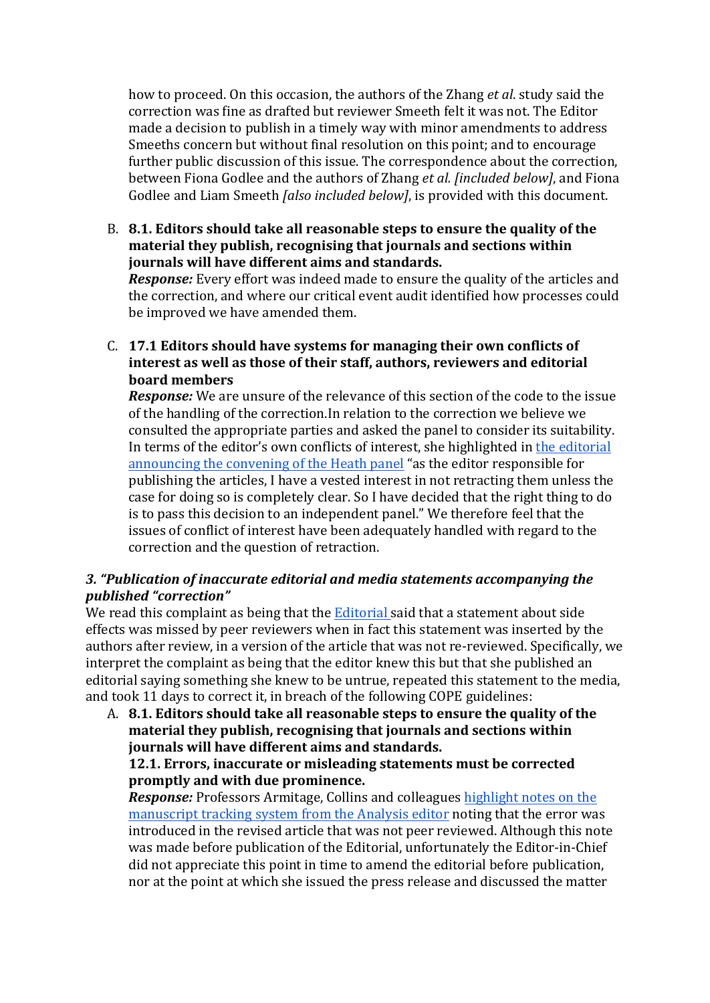how to proceed. On this occasion, the authors of the Zhang *et al*. study said the correction was fine as drafted but reviewer Smeeth felt it was not. The Editor made a decision to publish in a timely way with minor amendments to address Smeeths concern but without final resolution on this point; and to encourage further public discussion of this issue. The correspondence about the correction, between Fiona Godlee and the authors of Zhang *et al. [included below]*, and Fiona Godlee and Liam Smeeth *[also included below]*, is provided with this document.

B. 8.1. Editors should take all reasonable steps to ensure the quality of the **material they publish, recognising that journals and sections within journals** will have different aims and standards.

*Response:* Every effort was indeed made to ensure the quality of the articles and the correction, and where our critical event audit identified how processes could be improved we have amended them.

C. 17.1 Editors should have systems for managing their own conflicts of interest as well as those of their staff, authors, reviewers and editorial **board members**

**Response:** We are unsure of the relevance of this section of the code to the issue of the handling of the correction.In relation to the correction we believe we consulted the appropriate parties and asked the panel to consider its suitability. In terms of the editor's own conflicts of interest, she highlighted in the editorial announcing the convening of the Heath panel "as the editor responsible for publishing the articles, I have a vested interest in not retracting them unless the case for doing so is completely clear. So I have decided that the right thing to do is to pass this decision to an independent panel." We therefore feel that the issues of conflict of interest have been adequately handled with regard to the correction and the question of retraction.

#### 3. "Publication of inaccurate editorial and media statements accompanying the *published "correction"*

We read this complaint as being that the Editorial said that a statement about side effects was missed by peer reviewers when in fact this statement was inserted by the authors after review, in a version of the article that was not re-reviewed. Specifically, we interpret the complaint as being that the editor knew this but that she published an editorial saying something she knew to be untrue, repeated this statement to the media, and took 11 days to correct it, in breach of the following COPE guidelines:

A. 8.1. Editors should take all reasonable steps to ensure the quality of the **material they publish, recognising that journals and sections within journals** will have different aims and standards.

#### **12.1. Errors, inaccurate or misleading statements must be corrected promptly and with due prominence.**

*Response:* Professors Armitage, Collins and colleagues highlight notes on the manuscript tracking system from the Analysis editor noting that the error was introduced in the revised article that was not peer reviewed. Although this note was made before publication of the Editorial, unfortunately the Editor-in-Chief did not appreciate this point in time to amend the editorial before publication, nor at the point at which she issued the press release and discussed the matter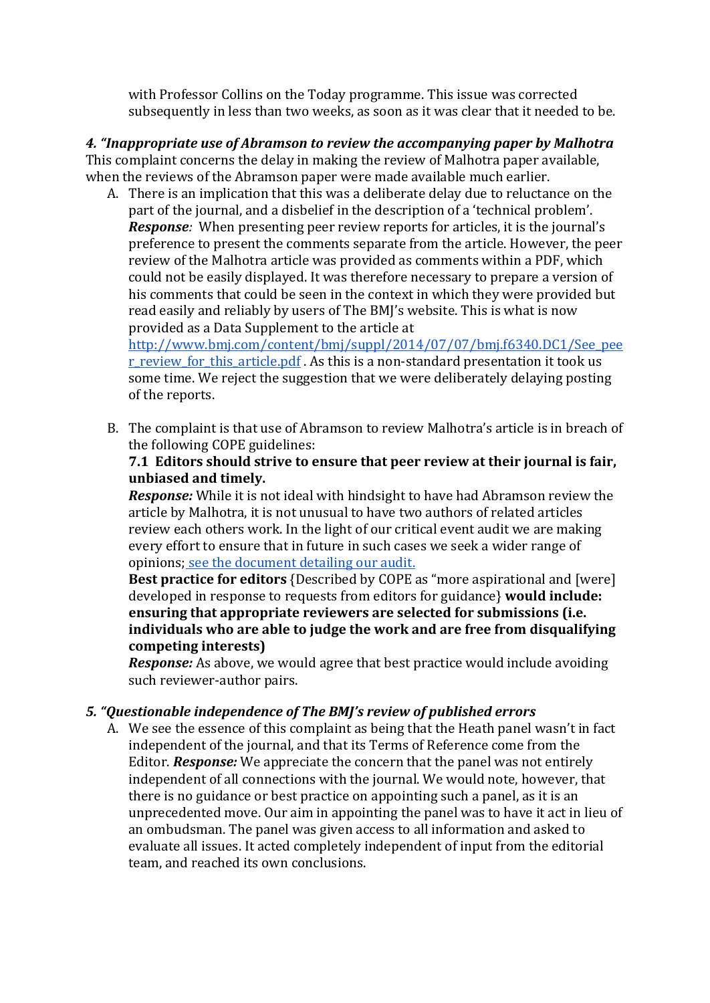with Professor Collins on the Today programme. This issue was corrected subsequently in less than two weeks, as soon as it was clear that it needed to be.

*4. "Inappropriate use of Abramson to review the accompanying paper by Malhotra* This complaint concerns the delay in making the review of Malhotra paper available, when the reviews of the Abramson paper were made available much earlier.

A. There is an implication that this was a deliberate delay due to reluctance on the part of the journal, and a disbelief in the description of a 'technical problem'. *Response:* When presenting peer review reports for articles, it is the journal's preference to present the comments separate from the article. However, the peer review of the Malhotra article was provided as comments within a PDF, which could not be easily displayed. It was therefore necessary to prepare a version of his comments that could be seen in the context in which they were provided but read easily and reliably by users of The BMJ's website. This is what is now provided as a Data Supplement to the article at

http://www.bmj.com/content/bmj/suppl/2014/07/07/bmj.f6340.DC1/See\_pee r\_review\_for\_this\_article.pdf . As this is a non-standard presentation it took us some time. We reject the suggestion that we were deliberately delaying posting of the reports.

B. The complaint is that use of Abramson to review Malhotra's article is in breach of the following COPE guidelines:

#### **7.1 Editors should strive to ensure that peer review at their journal is fair, unbiased and timely.**

**Response:** While it is not ideal with hindsight to have had Abramson review the article by Malhotra, it is not unusual to have two authors of related articles review each others work. In the light of our critical event audit we are making every effort to ensure that in future in such cases we seek a wider range of opinions; see the document detailing our audit.

**Best practice for editors** {Described by COPE as "more aspirational and [were] developed in response to requests from editors for guidance} **would include:** ensuring that appropriate reviewers are selected for submissions (i.e. individuals who are able to judge the work and are free from disqualifying **competing interests)**

*Response:* As above, we would agree that best practice would include avoiding such reviewer-author pairs.

## *5. "Questionable independence of The BMJ's review of published errors*

A. We see the essence of this complaint as being that the Heath panel wasn't in fact independent of the journal, and that its Terms of Reference come from the Editor. **Response:** We appreciate the concern that the panel was not entirely independent of all connections with the journal. We would note, however, that there is no guidance or best practice on appointing such a panel, as it is an unprecedented move. Our aim in appointing the panel was to have it act in lieu of an ombudsman. The panel was given access to all information and asked to evaluate all issues. It acted completely independent of input from the editorial team, and reached its own conclusions.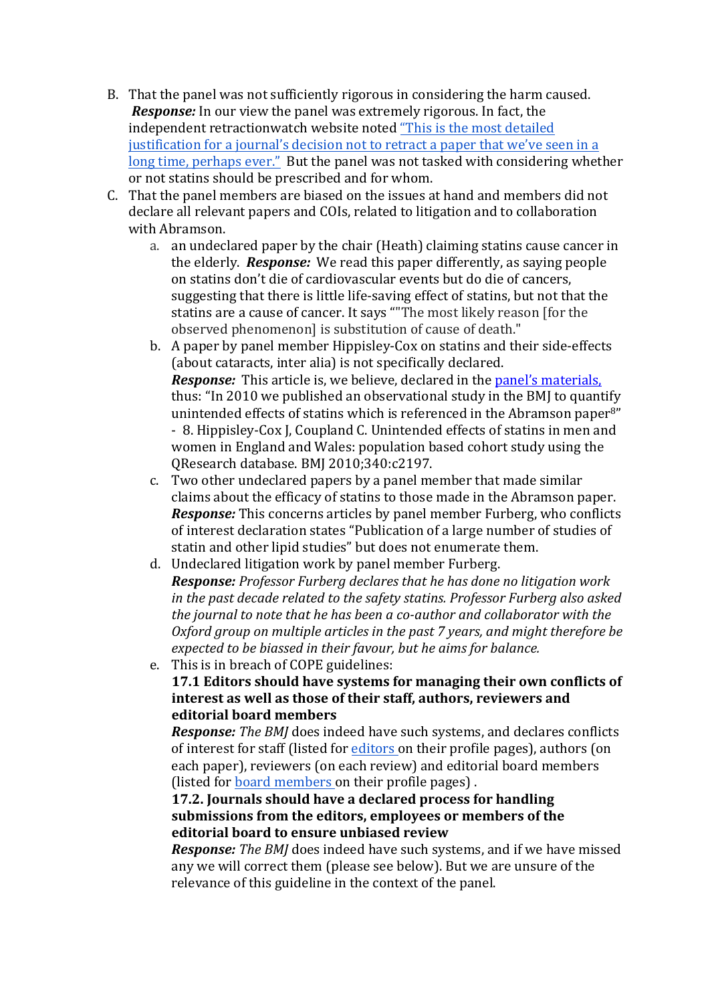- B. That the panel was not sufficiently rigorous in considering the harm caused. *Response:* In our view the panel was extremely rigorous. In fact, the independent retractionwatch website noted "This is the most detailed justification for a journal's decision not to retract a paper that we've seen in a long time, perhaps ever." But the panel was not tasked with considering whether or not statins should be prescribed and for whom.
- C. That the panel members are biased on the issues at hand and members did not declare all relevant papers and COIs, related to litigation and to collaboration with Abramson.
	- a. an undeclared paper by the chair (Heath) claiming statins cause cancer in the elderly. **Response:** We read this paper differently, as saying people on statins don't die of cardiovascular events but do die of cancers, suggesting that there is little life-saving effect of statins, but not that the statins are a cause of cancer. It says ""The most likely reason [for the observed phenomenonl is substitution of cause of death."
	- b. A paper by panel member Hippisley-Cox on statins and their side-effects (about cataracts, inter alia) is not specifically declared. *Response:* This article is, we believe, declared in the panel's materials, thus: "In 2010 we published an observational study in the BMJ to quantify unintended effects of statins which is referenced in the Abramson paper<sup>8"</sup> - 8. Hippisley-Cox J, Coupland C. Unintended effects of statins in men and women in England and Wales: population based cohort study using the OResearch database. BMJ 2010;340:c2197.
	- c. Two other undeclared papers by a panel member that made similar claims about the efficacy of statins to those made in the Abramson paper. *Response:* This concerns articles by panel member Furberg, who conflicts of interest declaration states "Publication of a large number of studies of statin and other lipid studies" but does not enumerate them.
	- d. Undeclared litigation work by panel member Furberg. *Response: Professor Furberg declares that he has done no litigation work in* the past decade related to the safety statins. Professor Furberg also asked *the iournal to note that he has been a co-author and collaborator with the Oxford group on multiple articles in the past 7 years, and might therefore be expected to be biassed in their favour, but he aims for balance.*
	- e. This is in breach of COPE guidelines: **17.1 Editors should have systems for managing their own conflicts of** interest as well as those of their staff, authors, reviewers and **editorial board members**

*Response: The BMJ* does indeed have such systems, and declares conflicts of interest for staff (listed for editors on their profile pages), authors (on each paper), reviewers (on each review) and editorial board members (listed for board members on their profile pages).

#### **17.2. Journals should have a declared process for handling** submissions from the editors, employees or members of the *editorial board to ensure unbiased review*

**Response:** The BMJ does indeed have such systems, and if we have missed any we will correct them (please see below). But we are unsure of the relevance of this guideline in the context of the panel.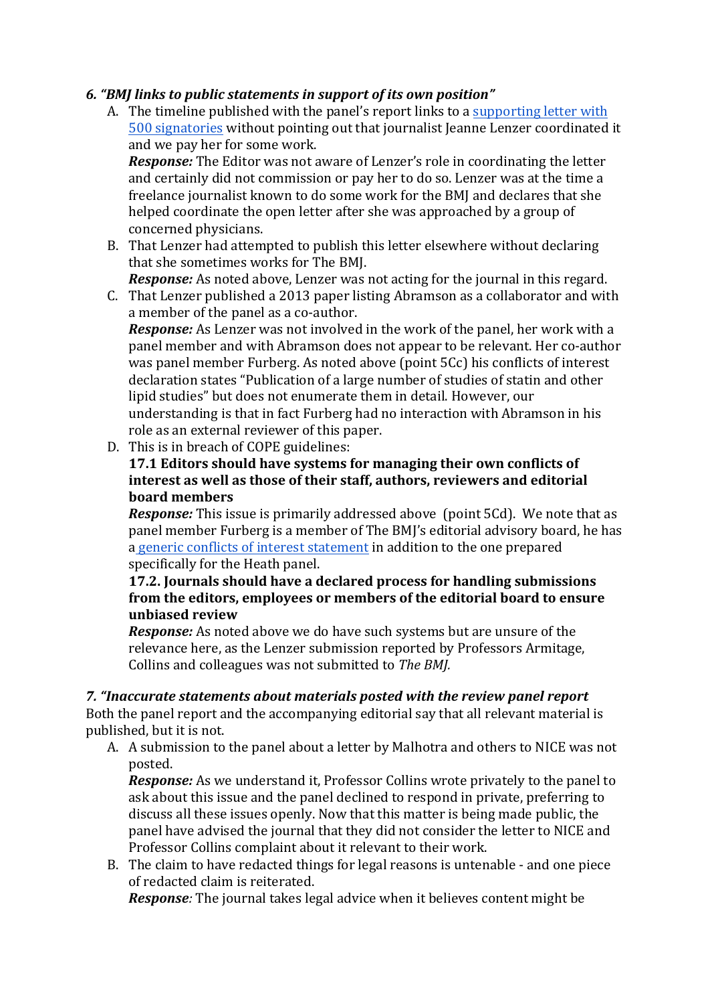## *6. "BMJ links to public statements in support of its own position"*

A. The timeline published with the panel's report links to a supporting letter with 500 signatories without pointing out that journalist Jeanne Lenzer coordinated it and we pay her for some work.

*Response:* The Editor was not aware of Lenzer's role in coordinating the letter and certainly did not commission or pay her to do so. Lenzer was at the time a freelance journalist known to do some work for the BMJ and declares that she helped coordinate the open letter after she was approached by a group of concerned physicians.

B. That Lenzer had attempted to publish this letter elsewhere without declaring that she sometimes works for The BMJ.

*Response:* As noted above, Lenzer was not acting for the journal in this regard.

C. That Lenzer published a 2013 paper listing Abramson as a collaborator and with a member of the panel as a co-author.

*Response:* As Lenzer was not involved in the work of the panel, her work with a panel member and with Abramson does not appear to be relevant. Her co-author was panel member Furberg. As noted above (point 5Cc) his conflicts of interest declaration states "Publication of a large number of studies of statin and other lipid studies" but does not enumerate them in detail. However, our understanding is that in fact Furberg had no interaction with Abramson in his role as an external reviewer of this paper.

D. This is in breach of COPE guidelines:

#### **17.1 Editors should have systems for managing their own conflicts of interest as well as those of their staff, authors, reviewers and editorial board members**

*Response:* This issue is primarily addressed above (point 5Cd). We note that as panel member Furberg is a member of The BMJ's editorial advisory board, he has a generic conflicts of interest statement in addition to the one prepared specifically for the Heath panel.

#### **17.2. Journals should have a declared process for handling submissions** from the editors, employees or members of the editorial board to ensure **unbiased review**

*Response:* As noted above we do have such systems but are unsure of the relevance here, as the Lenzer submission reported by Professors Armitage, Collins and colleagues was not submitted to *The BMJ.* 

## *7. "Inaccurate statements about materials posted with the review panel report*

Both the panel report and the accompanying editorial say that all relevant material is published, but it is not.

A. A submission to the panel about a letter by Malhotra and others to NICE was not posted. 

*Response:* As we understand it, Professor Collins wrote privately to the panel to ask about this issue and the panel declined to respond in private, preferring to discuss all these issues openly. Now that this matter is being made public, the panel have advised the journal that they did not consider the letter to NICE and Professor Collins complaint about it relevant to their work.

B. The claim to have redacted things for legal reasons is untenable - and one piece of redacted claim is reiterated.

*Response:* The journal takes legal advice when it believes content might be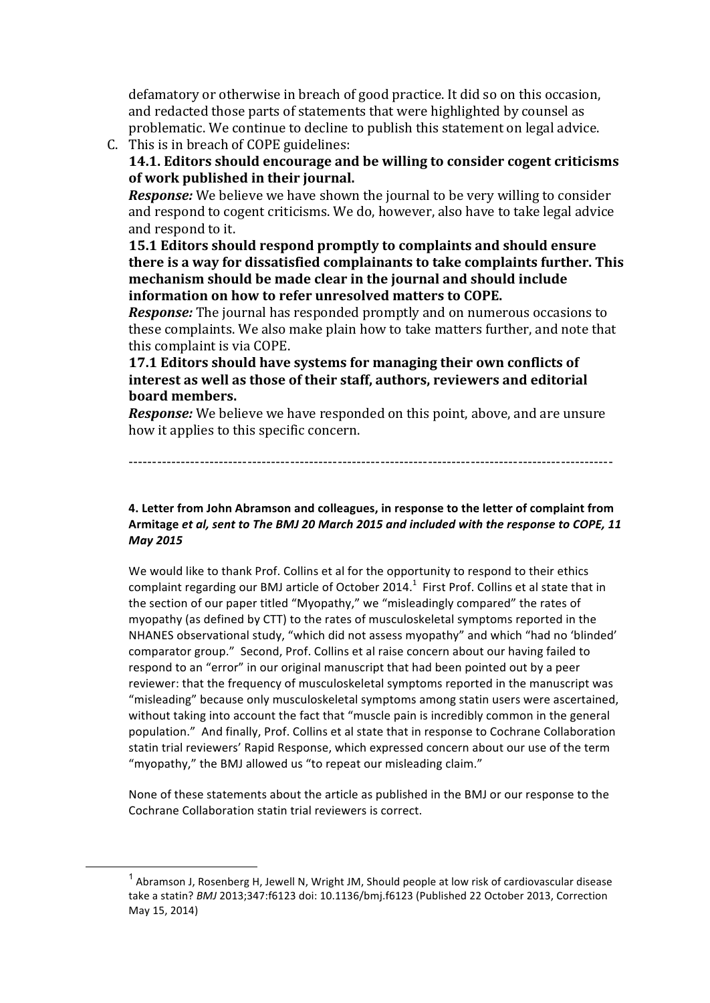defamatory or otherwise in breach of good practice. It did so on this occasion, and redacted those parts of statements that were highlighted by counsel as problematic. We continue to decline to publish this statement on legal advice.

- C. This is in breach of COPE guidelines:
	- **14.1. Editors should encourage and be willing to consider cogent criticisms** of work published in their journal.

*Response:* We believe we have shown the journal to be very willing to consider and respond to cogent criticisms. We do, however, also have to take legal advice and respond to it.

**15.1 Editors should respond promptly to complaints and should ensure there is a way for dissatisfied complainants to take complaints further. This mechanism should be made clear in the journal and should include information on how to refer unresolved matters to COPE.** 

*Response:* The journal has responded promptly and on numerous occasions to these complaints. We also make plain how to take matters further, and note that this complaint is via COPE.

**17.1 Editors should have systems for managing their own conflicts of** interest as well as those of their staff, authors, reviewers and editorial **board members.** 

*Response:* We believe we have responded on this point, above, and are unsure how it applies to this specific concern.

------------------------------------------------------------------------------------------------------

#### 4. Letter from John Abramson and colleagues, in response to the letter of complaint from Armitage et al, sent to The BMJ 20 March 2015 and included with the response to COPE, 11 *May 2015*

We would like to thank Prof. Collins et al for the opportunity to respond to their ethics complaint regarding our BMJ article of October 2014.<sup>1</sup> First Prof. Collins et al state that in the section of our paper titled "Myopathy," we "misleadingly compared" the rates of myopathy (as defined by CTT) to the rates of musculoskeletal symptoms reported in the NHANES observational study, "which did not assess myopathy" and which "had no 'blinded' comparator group." Second, Prof. Collins et al raise concern about our having failed to respond to an "error" in our original manuscript that had been pointed out by a peer reviewer: that the frequency of musculoskeletal symptoms reported in the manuscript was "misleading" because only musculoskeletal symptoms among statin users were ascertained, without taking into account the fact that "muscle pain is incredibly common in the general population." And finally, Prof. Collins et al state that in response to Cochrane Collaboration statin trial reviewers' Rapid Response, which expressed concern about our use of the term "myopathy," the BMJ allowed us "to repeat our misleading claim."

None of these statements about the article as published in the BMJ or our response to the Cochrane Collaboration statin trial reviewers is correct.

 $1$  Abramson J, Rosenberg H, Jewell N, Wright JM, Should people at low risk of cardiovascular disease take a statin? *BMJ* 2013;347:f6123 doi: 10.1136/bmj.f6123 (Published 22 October 2013, Correction May 15, 2014)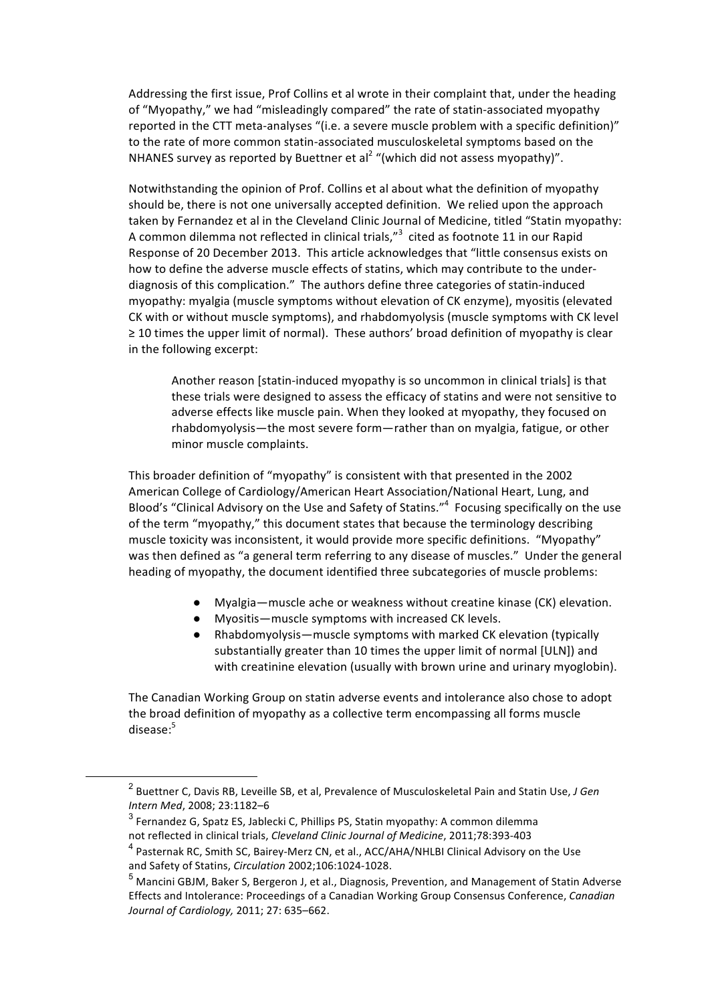Addressing the first issue, Prof Collins et al wrote in their complaint that, under the heading of "Myopathy," we had "misleadingly compared" the rate of statin-associated myopathy reported in the CTT meta-analyses "(i.e. a severe muscle problem with a specific definition)" to the rate of more common statin-associated musculoskeletal symptoms based on the NHANES survey as reported by Buettner et al<sup>2</sup> "(which did not assess myopathy)".

Notwithstanding the opinion of Prof. Collins et al about what the definition of myopathy should be, there is not one universally accepted definition. We relied upon the approach taken by Fernandez et al in the Cleveland Clinic Journal of Medicine, titled "Statin myopathy: A common dilemma not reflected in clinical trials,"<sup>3</sup> cited as footnote 11 in our Rapid Response of 20 December 2013. This article acknowledges that "little consensus exists on how to define the adverse muscle effects of statins, which may contribute to the underdiagnosis of this complication." The authors define three categories of statin-induced myopathy: myalgia (muscle symptoms without elevation of CK enzyme), myositis (elevated CK with or without muscle symptoms), and rhabdomyolysis (muscle symptoms with CK level ≥ 10 times the upper limit of normal). These authors' broad definition of myopathy is clear in the following excerpt:

Another reason [statin-induced myopathy is so uncommon in clinical trials] is that these trials were designed to assess the efficacy of statins and were not sensitive to adverse effects like muscle pain. When they looked at myopathy, they focused on rhabdomyolysis—the most severe form—rather than on myalgia, fatigue, or other minor muscle complaints.

This broader definition of "myopathy" is consistent with that presented in the 2002 American College of Cardiology/American Heart Association/National Heart, Lung, and Blood's "Clinical Advisory on the Use and Safety of Statins."<sup>4</sup> Focusing specifically on the use of the term "myopathy," this document states that because the terminology describing muscle toxicity was inconsistent, it would provide more specific definitions. "Myopathy" was then defined as "a general term referring to any disease of muscles." Under the general heading of myopathy, the document identified three subcategories of muscle problems:

- Myalgia—muscle ache or weakness without creatine kinase (CK) elevation.
- Myositis—muscle symptoms with increased CK levels.
- Rhabdomyolysis—muscle symptoms with marked CK elevation (typically substantially greater than 10 times the upper limit of normal [ULN]) and with creatinine elevation (usually with brown urine and urinary myoglobin).

The Canadian Working Group on statin adverse events and intolerance also chose to adopt the broad definition of myopathy as a collective term encompassing all forms muscle disease:5

<sup>&</sup>lt;sup>2</sup> Buettner C, Davis RB, Leveille SB, et al, Prevalence of Musculoskeletal Pain and Statin Use, *J Gen Intern Med*, 2008; 23:1182–6

 $3$  Fernandez G, Spatz ES, Jablecki C, Phillips PS, Statin myopathy: A common dilemma not reflected in clinical trials, *Cleveland Clinic Journal of Medicine*, 2011;78:393-403

<sup>&</sup>lt;sup>4</sup> Pasternak RC, Smith SC, Bairey-Merz CN, et al., ACC/AHA/NHLBI Clinical Advisory on the Use and Safety of Statins, *Circulation* 2002;106:1024-1028.

 $<sup>5</sup>$  Mancini GBJM, Baker S, Bergeron J, et al., Diagnosis, Prevention, and Management of Statin Adverse</sup> Effects and Intolerance: Proceedings of a Canadian Working Group Consensus Conference, *Canadian Journal of Cardiology,* 2011; 27: 635–662.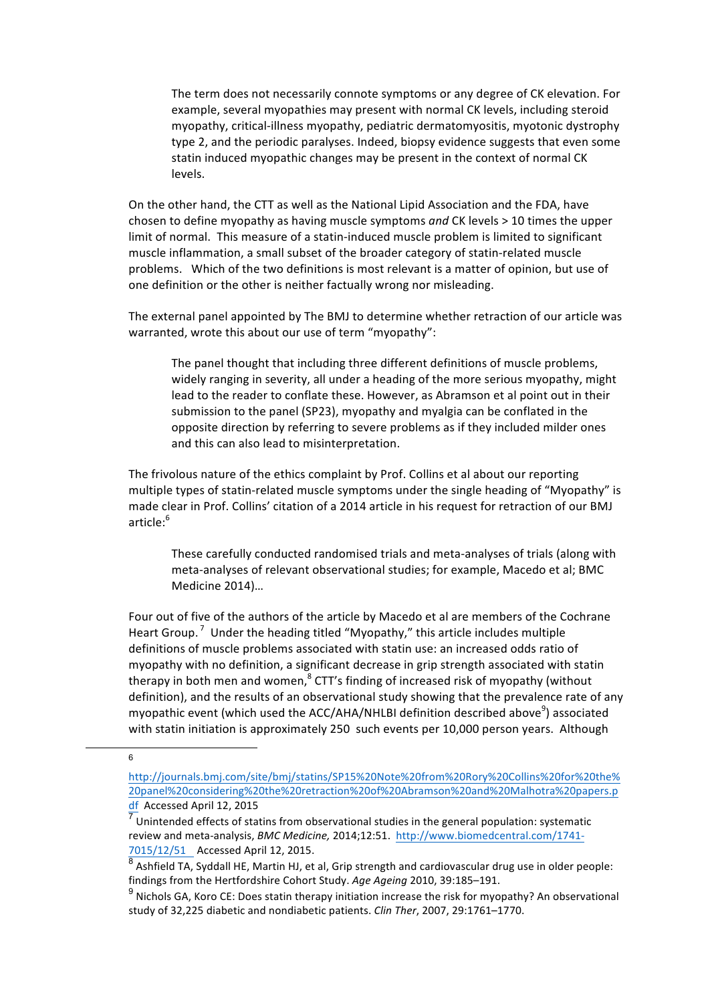The term does not necessarily connote symptoms or any degree of CK elevation. For example, several myopathies may present with normal CK levels, including steroid myopathy, critical-illness myopathy, pediatric dermatomyositis, myotonic dystrophy type 2, and the periodic paralyses. Indeed, biopsy evidence suggests that even some statin induced myopathic changes may be present in the context of normal CK levels.

On the other hand, the CTT as well as the National Lipid Association and the FDA, have chosen to define myopathy as having muscle symptoms and CK levels > 10 times the upper limit of normal. This measure of a statin-induced muscle problem is limited to significant muscle inflammation, a small subset of the broader category of statin-related muscle problems. Which of the two definitions is most relevant is a matter of opinion, but use of one definition or the other is neither factually wrong nor misleading.

The external panel appointed by The BMJ to determine whether retraction of our article was warranted, wrote this about our use of term "myopathy":

The panel thought that including three different definitions of muscle problems, widely ranging in severity, all under a heading of the more serious myopathy, might lead to the reader to conflate these. However, as Abramson et al point out in their submission to the panel (SP23), myopathy and myalgia can be conflated in the opposite direction by referring to severe problems as if they included milder ones and this can also lead to misinterpretation.

The frivolous nature of the ethics complaint by Prof. Collins et al about our reporting multiple types of statin-related muscle symptoms under the single heading of "Myopathy" is made clear in Prof. Collins' citation of a 2014 article in his request for retraction of our BMJ article:<sup>6</sup>

These carefully conducted randomised trials and meta-analyses of trials (along with meta-analyses of relevant observational studies; for example, Macedo et al; BMC Medicine 2014)...

Four out of five of the authors of the article by Macedo et al are members of the Cochrane Heart Group.<sup>7</sup> Under the heading titled "Myopathy," this article includes multiple definitions of muscle problems associated with statin use: an increased odds ratio of myopathy with no definition, a significant decrease in grip strength associated with statin therapy in both men and women, $8$  CTT's finding of increased risk of myopathy (without definition), and the results of an observational study showing that the prevalence rate of any myopathic event (which used the ACC/AHA/NHLBI definition described above<sup>9</sup>) associated with statin initiation is approximately 250 such events per 10,000 person years. Although

6

http://journals.bmj.com/site/bmj/statins/SP15%20Note%20from%20Rory%20Collins%20for%20the% 20panel%20considering%20the%20retraction%20of%20Abramson%20and%20Malhotra%20papers.p df Accessed April 12, 2015

Unintended effects of statins from observational studies in the general population: systematic review and meta-analysis, *BMC Medicine*, 2014;12:51. http://www.biomedcentral.com/1741-7015/12/51 Accessed April 12, 2015.

Ashfield TA, Syddall HE, Martin HJ, et al, Grip strength and cardiovascular drug use in older people: findings from the Hertfordshire Cohort Study. Age Ageing 2010, 39:185-191.

 $9$  Nichols GA, Koro CE: Does statin therapy initiation increase the risk for myopathy? An observational study of 32,225 diabetic and nondiabetic patients. *Clin Ther*, 2007, 29:1761-1770.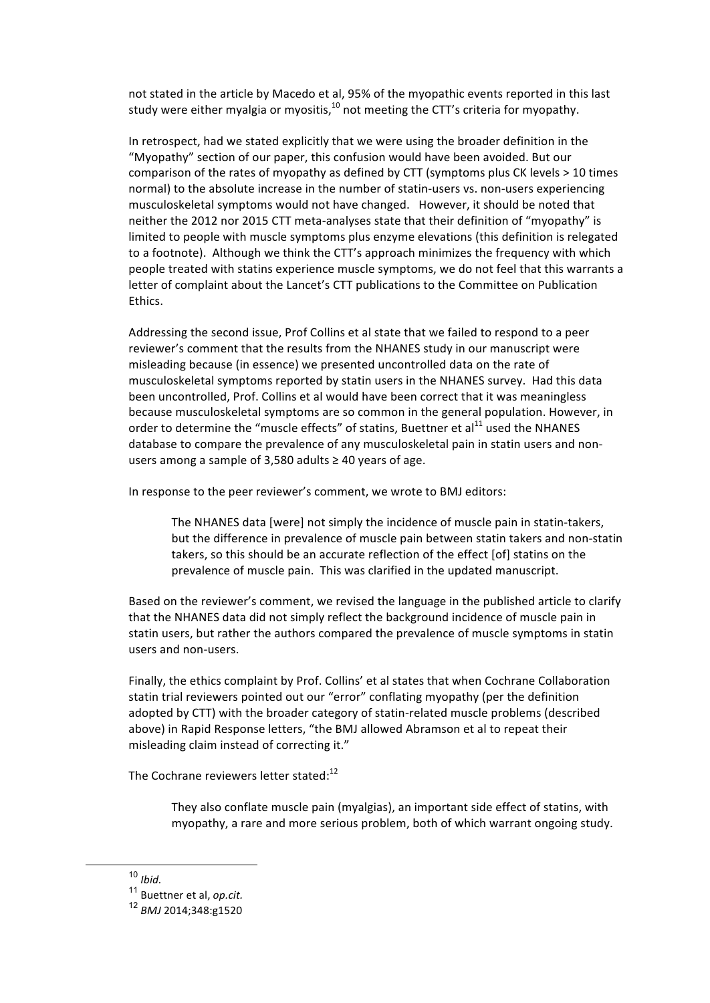not stated in the article by Macedo et al, 95% of the myopathic events reported in this last study were either myalgia or myositis, $10$  not meeting the CTT's criteria for myopathy.

In retrospect, had we stated explicitly that we were using the broader definition in the "Myopathy" section of our paper, this confusion would have been avoided. But our comparison of the rates of myopathy as defined by CTT (symptoms plus CK levels > 10 times normal) to the absolute increase in the number of statin-users vs. non-users experiencing musculoskeletal symptoms would not have changed. However, it should be noted that neither the 2012 nor 2015 CTT meta-analyses state that their definition of "myopathy" is limited to people with muscle symptoms plus enzyme elevations (this definition is relegated to a footnote). Although we think the CTT's approach minimizes the frequency with which people treated with statins experience muscle symptoms, we do not feel that this warrants a letter of complaint about the Lancet's CTT publications to the Committee on Publication Ethics.

Addressing the second issue, Prof Collins et al state that we failed to respond to a peer reviewer's comment that the results from the NHANES study in our manuscript were misleading because (in essence) we presented uncontrolled data on the rate of musculoskeletal symptoms reported by statin users in the NHANES survey. Had this data been uncontrolled, Prof. Collins et al would have been correct that it was meaningless because musculoskeletal symptoms are so common in the general population. However, in order to determine the "muscle effects" of statins, Buettner et  $al<sup>11</sup>$  used the NHANES database to compare the prevalence of any musculoskeletal pain in statin users and nonusers among a sample of 3,580 adults  $\geq$  40 years of age.

In response to the peer reviewer's comment, we wrote to BMJ editors:

The NHANES data [were] not simply the incidence of muscle pain in statin-takers, but the difference in prevalence of muscle pain between statin takers and non-statin takers, so this should be an accurate reflection of the effect [of] statins on the prevalence of muscle pain. This was clarified in the updated manuscript.

Based on the reviewer's comment, we revised the language in the published article to clarify that the NHANES data did not simply reflect the background incidence of muscle pain in statin users, but rather the authors compared the prevalence of muscle symptoms in statin users and non-users.

Finally, the ethics complaint by Prof. Collins' et al states that when Cochrane Collaboration statin trial reviewers pointed out our "error" conflating myopathy (per the definition adopted by CTT) with the broader category of statin-related muscle problems (described above) in Rapid Response letters, "the BMJ allowed Abramson et al to repeat their misleading claim instead of correcting it."

The Cochrane reviewers letter stated:<sup>12</sup>

They also conflate muscle pain (myalgias), an important side effect of statins, with myopathy, a rare and more serious problem, both of which warrant ongoing study.

 <sup>10</sup> *Ibid.*

<sup>&</sup>lt;sup>11</sup> Buettner et al, op.cit.

<sup>12</sup> *BMJ* 2014;348:g1520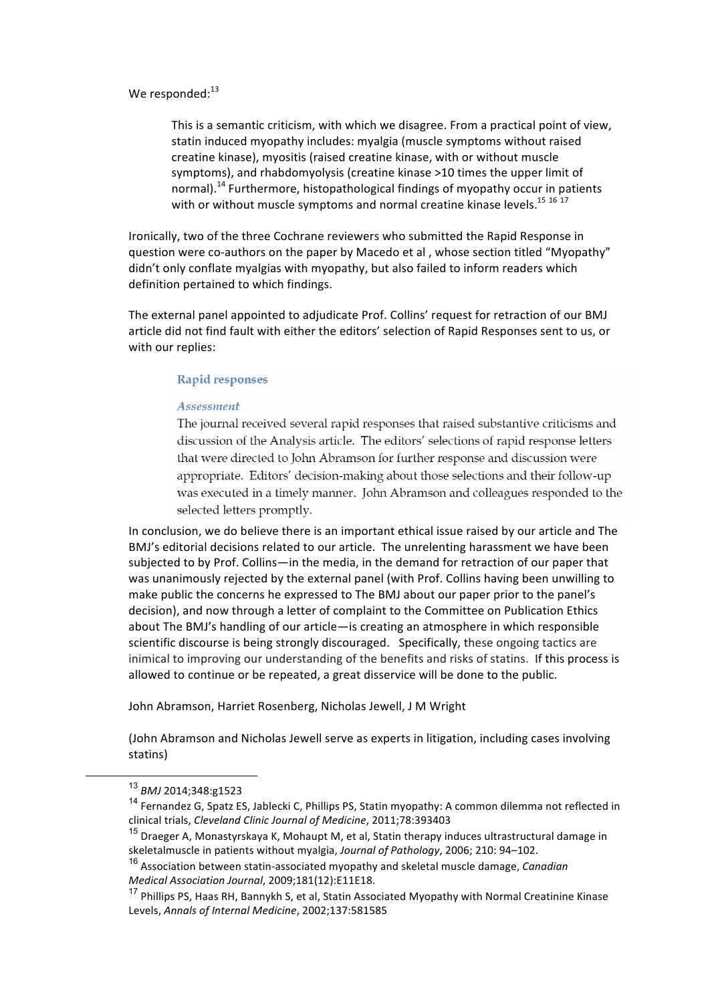We responded: $13$ 

This is a semantic criticism, with which we disagree. From a practical point of view, statin induced myopathy includes: myalgia (muscle symptoms without raised creatine kinase), myositis (raised creatine kinase, with or without muscle symptoms), and rhabdomyolysis (creatine kinase >10 times the upper limit of normal).<sup>14</sup> Furthermore, histopathological findings of myopathy occur in patients with or without muscle symptoms and normal creatine kinase levels.<sup>15 16 17</sup>

Ironically, two of the three Cochrane reviewers who submitted the Rapid Response in question were co-authors on the paper by Macedo et al, whose section titled "Myopathy" didn't only conflate myalgias with myopathy, but also failed to inform readers which definition pertained to which findings.

The external panel appointed to adjudicate Prof. Collins' request for retraction of our BMJ article did not find fault with either the editors' selection of Rapid Responses sent to us, or with our replies:

#### **Rapid responses**

#### Assessment

The journal received several rapid responses that raised substantive criticisms and discussion of the Analysis article. The editors' selections of rapid response letters that were directed to John Abramson for further response and discussion were appropriate. Editors' decision-making about those selections and their follow-up was executed in a timely manner. John Abramson and colleagues responded to the selected letters promptly.

In conclusion, we do believe there is an important ethical issue raised by our article and The BMJ's editorial decisions related to our article. The unrelenting harassment we have been subjected to by Prof. Collins—in the media, in the demand for retraction of our paper that was unanimously rejected by the external panel (with Prof. Collins having been unwilling to make public the concerns he expressed to The BMJ about our paper prior to the panel's decision), and now through a letter of complaint to the Committee on Publication Ethics about The BMJ's handling of our article—is creating an atmosphere in which responsible scientific discourse is being strongly discouraged. Specifically, these ongoing tactics are inimical to improving our understanding of the benefits and risks of statins. If this process is allowed to continue or be repeated, a great disservice will be done to the public.

John Abramson, Harriet Rosenberg, Nicholas Jewell, J M Wright

(John Abramson and Nicholas Jewell serve as experts in litigation, including cases involving statins)

 <sup>13</sup> *BMJ* 2014;348:g1523

<sup>&</sup>lt;sup>14</sup> Fernandez G, Spatz ES, Jablecki C, Phillips PS, Statin myopathy: A common dilemma not reflected in clinical trials, *Cleveland Clinic Journal of Medicine*, 2011;78:393403

 $15$  Draeger A, Monastyrskaya K, Mohaupt M, et al, Statin therapy induces ultrastructural damage in skeletalmuscle in patients without myalgia, Journal of Pathology, 2006; 210: 94-102.

<sup>&</sup>lt;sup>16</sup> Association between statin-associated myopathy and skeletal muscle damage, *Canadian Medical Association Journal*, 2009;181(12):E11E18.

<sup>&</sup>lt;sup>17</sup> Phillips PS, Haas RH, Bannykh S, et al, Statin Associated Myopathy with Normal Creatinine Kinase Levels, Annals of Internal Medicine, 2002;137:581585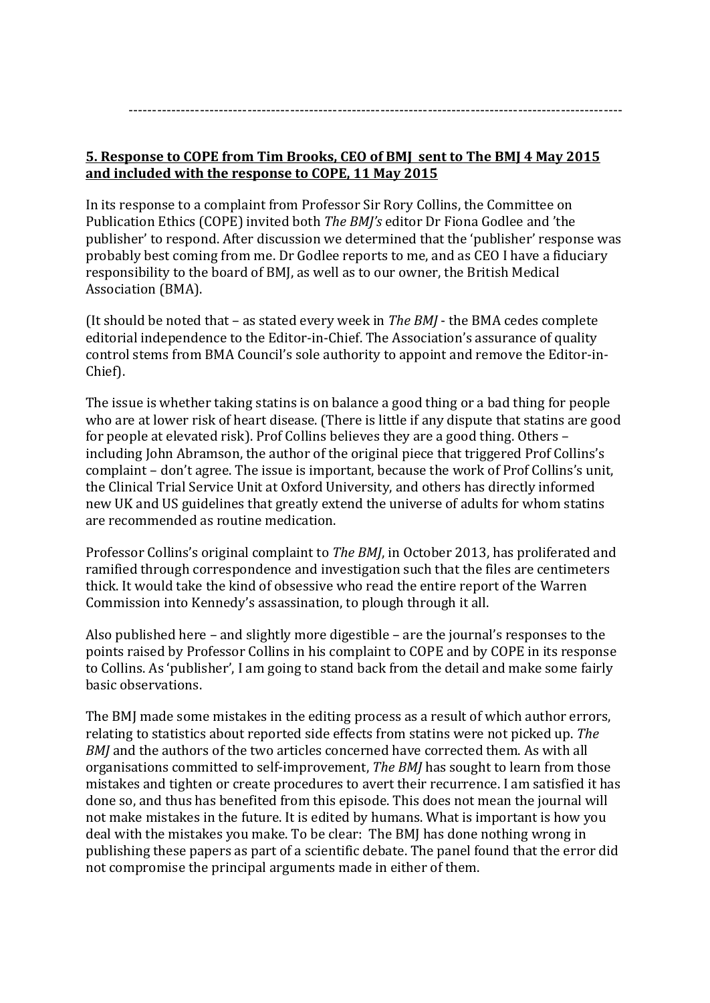#### **5. Response to COPE from Tim Brooks, CEO of BMJ sent to The BMJ 4 May 2015** and included with the response to COPE, 11 May 2015

In its response to a complaint from Professor Sir Rory Collins, the Committee on Publication Ethics (COPE) invited both *The BMJ's* editor Dr Fiona Godlee and 'the publisher' to respond. After discussion we determined that the 'publisher' response was probably best coming from me. Dr Godlee reports to me, and as CEO I have a fiduciary responsibility to the board of BMJ, as well as to our owner, the British Medical Association (BMA).

(It should be noted that – as stated every week in *The BMJ* - the BMA cedes complete editorial independence to the Editor-in-Chief. The Association's assurance of quality control stems from BMA Council's sole authority to appoint and remove the Editor-in-Chief). 

The issue is whether taking statins is on balance a good thing or a bad thing for people who are at lower risk of heart disease. (There is little if any dispute that statins are good for people at elevated risk). Prof Collins believes they are a good thing. Others  $$ including John Abramson, the author of the original piece that triggered Prof Collins's complaint – don't agree. The issue is important, because the work of Prof Collins's unit, the Clinical Trial Service Unit at Oxford University, and others has directly informed new UK and US guidelines that greatly extend the universe of adults for whom statins are recommended as routine medication.

Professor Collins's original complaint to *The BMJ*, in October 2013, has proliferated and ramified through correspondence and investigation such that the files are centimeters thick. It would take the kind of obsessive who read the entire report of the Warren Commission into Kennedy's assassination, to plough through it all.

Also published here  $-$  and slightly more digestible  $-$  are the journal's responses to the points raised by Professor Collins in his complaint to COPE and by COPE in its response to Collins. As 'publisher', I am going to stand back from the detail and make some fairly basic observations.

The BMJ made some mistakes in the editing process as a result of which author errors, relating to statistics about reported side effects from statins were not picked up. The *BMJ* and the authors of the two articles concerned have corrected them. As with all organisations committed to self-improvement, *The BMJ* has sought to learn from those mistakes and tighten or create procedures to avert their recurrence. I am satisfied it has done so, and thus has benefited from this episode. This does not mean the journal will not make mistakes in the future. It is edited by humans. What is important is how you deal with the mistakes you make. To be clear: The BMJ has done nothing wrong in publishing these papers as part of a scientific debate. The panel found that the error did not compromise the principal arguments made in either of them.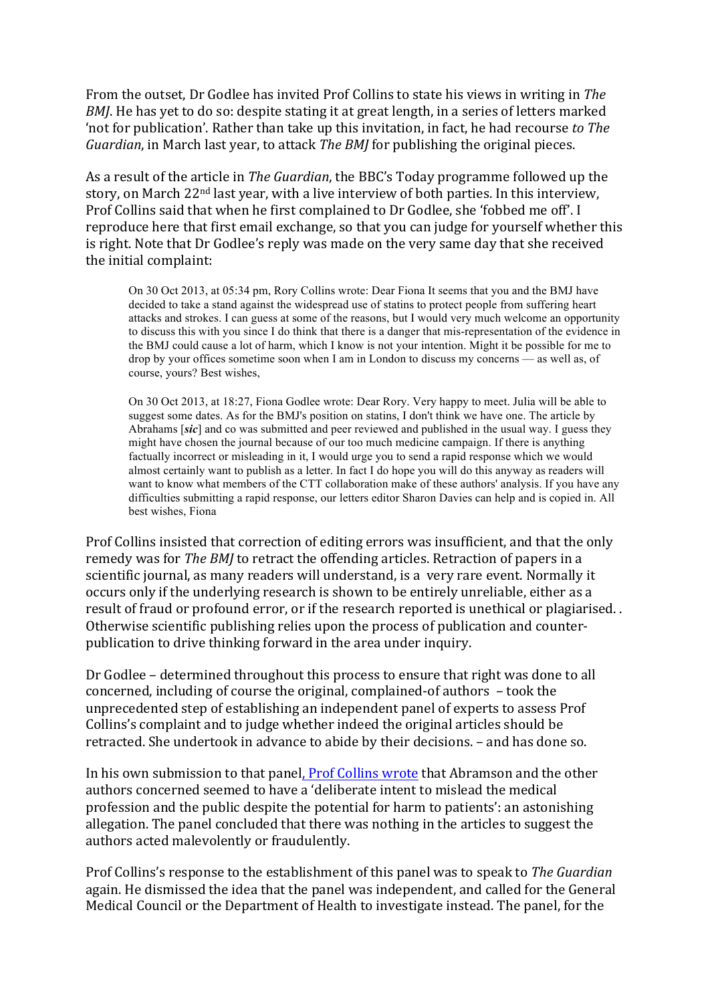From the outset, Dr Godlee has invited Prof Collins to state his views in writing in *The BMJ*. He has yet to do so: despite stating it at great length, in a series of letters marked 'not for publication'. Rather than take up this invitation, in fact, he had recourse *to The Guardian*, in March last year, to attack *The BMJ* for publishing the original pieces.

As a result of the article in *The Guardian*, the BBC's Today programme followed up the story, on March  $22<sup>nd</sup>$  last year, with a live interview of both parties. In this interview, Prof Collins said that when he first complained to Dr Godlee, she 'fobbed me off'. I reproduce here that first email exchange, so that you can judge for yourself whether this is right. Note that Dr Godlee's reply was made on the very same day that she received the initial complaint:

On 30 Oct 2013, at 05:34 pm, Rory Collins wrote: Dear Fiona It seems that you and the BMJ have decided to take a stand against the widespread use of statins to protect people from suffering heart attacks and strokes. I can guess at some of the reasons, but I would very much welcome an opportunity to discuss this with you since I do think that there is a danger that mis-representation of the evidence in the BMJ could cause a lot of harm, which I know is not your intention. Might it be possible for me to drop by your offices sometime soon when I am in London to discuss my concerns — as well as, of course, yours? Best wishes,

On 30 Oct 2013, at 18:27, Fiona Godlee wrote: Dear Rory. Very happy to meet. Julia will be able to suggest some dates. As for the BMJ's position on statins, I don't think we have one. The article by Abrahams [*sic*] and co was submitted and peer reviewed and published in the usual way. I guess they might have chosen the journal because of our too much medicine campaign. If there is anything factually incorrect or misleading in it, I would urge you to send a rapid response which we would almost certainly want to publish as a letter. In fact I do hope you will do this anyway as readers will want to know what members of the CTT collaboration make of these authors' analysis. If you have any difficulties submitting a rapid response, our letters editor Sharon Davies can help and is copied in. All best wishes, Fiona

Prof Collins insisted that correction of editing errors was insufficient, and that the only remedy was for *The BMJ* to retract the offending articles. Retraction of papers in a scientific journal, as many readers will understand, is a very rare event. Normally it occurs only if the underlying research is shown to be entirely unreliable, either as a result of fraud or profound error, or if the research reported is unethical or plagiarised.. Otherwise scientific publishing relies upon the process of publication and counterpublication to drive thinking forward in the area under inquiry.

Dr Godlee - determined throughout this process to ensure that right was done to all concerned, including of course the original, complained-of authors - took the unprecedented step of establishing an independent panel of experts to assess Prof Collins's complaint and to judge whether indeed the original articles should be retracted. She undertook in advance to abide by their decisions. – and has done so.

In his own submission to that panel, Prof Collins wrote that Abramson and the other authors concerned seemed to have a 'deliberate intent to mislead the medical profession and the public despite the potential for harm to patients': an astonishing allegation. The panel concluded that there was nothing in the articles to suggest the authors acted malevolently or fraudulently.

Prof Collins's response to the establishment of this panel was to speak to *The Guardian* again. He dismissed the idea that the panel was independent, and called for the General Medical Council or the Department of Health to investigate instead. The panel, for the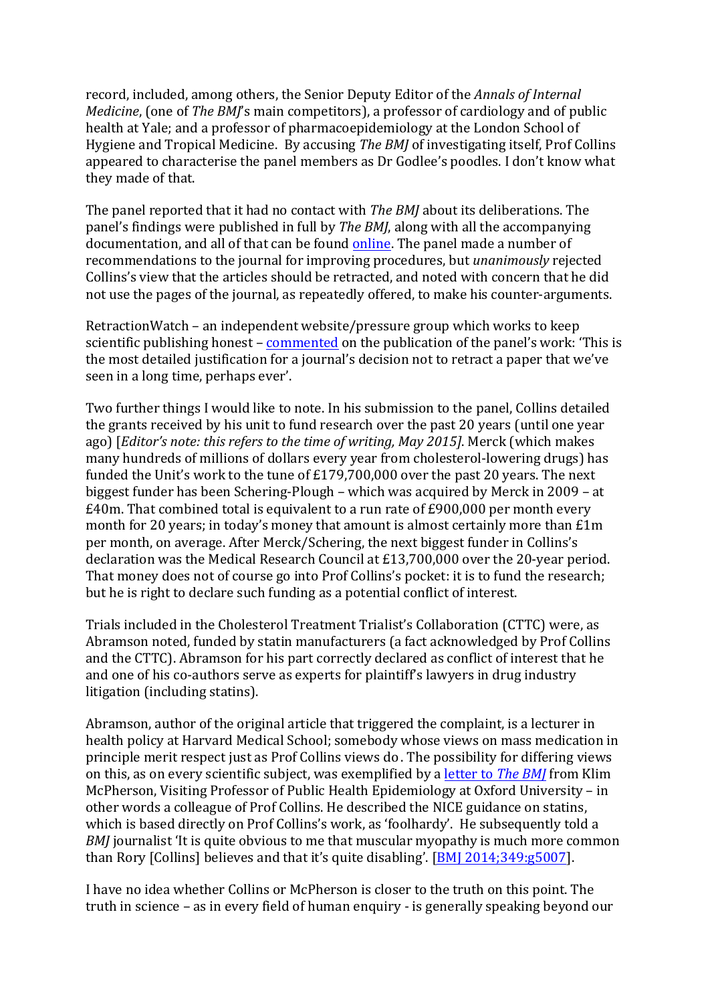record, included, among others, the Senior Deputy Editor of the *Annals of Internal Medicine*, (one of *The BMI's* main competitors), a professor of cardiology and of public health at Yale; and a professor of pharmacoepidemiology at the London School of Hygiene and Tropical Medicine. By accusing *The BMJ* of investigating itself, Prof Collins appeared to characterise the panel members as Dr Godlee's poodles. I don't know what they made of that.

The panel reported that it had no contact with *The BMJ* about its deliberations. The panel's findings were published in full by *The BMJ*, along with all the accompanying documentation, and all of that can be found online. The panel made a number of recommendations to the journal for improving procedures, but *unanimously* rejected Collins's view that the articles should be retracted, and noted with concern that he did not use the pages of the journal, as repeatedly offered, to make his counter-arguments.

RetractionWatch – an independent website/pressure group which works to keep scientific publishing honest – commented on the publication of the panel's work: 'This is the most detailed justification for a journal's decision not to retract a paper that we've seen in a long time, perhaps ever'.

Two further things I would like to note. In his submission to the panel, Collins detailed the grants received by his unit to fund research over the past 20 years (until one year ago) [*Editor's note: this refers to the time of writing, May 2015*]. Merck (which makes many hundreds of millions of dollars every year from cholesterol-lowering drugs) has funded the Unit's work to the tune of  $£179,700,000$  over the past 20 years. The next biggest funder has been Schering-Plough – which was acquired by Merck in 2009 – at  $£40m$ . That combined total is equivalent to a run rate of  $£900,000$  per month every month for 20 years; in today's money that amount is almost certainly more than  $£1m$ per month, on average. After Merck/Schering, the next biggest funder in Collins's declaration was the Medical Research Council at  $£13,700,000$  over the 20-year period. That money does not of course go into Prof Collins's pocket: it is to fund the research; but he is right to declare such funding as a potential conflict of interest.

Trials included in the Cholesterol Treatment Trialist's Collaboration (CTTC) were, as Abramson noted, funded by statin manufacturers (a fact acknowledged by Prof Collins and the CTTC). Abramson for his part correctly declared as conflict of interest that he and one of his co-authors serve as experts for plaintiff's lawyers in drug industry litigation (including statins).

Abramson, author of the original article that triggered the complaint, is a lecturer in health policy at Harvard Medical School; somebody whose views on mass medication in principle merit respect just as Prof Collins views do. The possibility for differing views on this, as on every scientific subject, was exemplified by a letter to *The BMI* from Klim McPherson, Visiting Professor of Public Health Epidemiology at Oxford University – in other words a colleague of Prof Collins. He described the NICE guidance on statins, which is based directly on Prof Collins's work, as 'foolhardy'. He subsequently told a *BMJ* journalist 'It is quite obvious to me that muscular myopathy is much more common than Rory  $[Collins]$  believes and that it's quite disabling'.  $[BM]$  2014;349:g5007].

I have no idea whether Collins or McPherson is closer to the truth on this point. The truth in science – as in every field of human enquiry - is generally speaking beyond our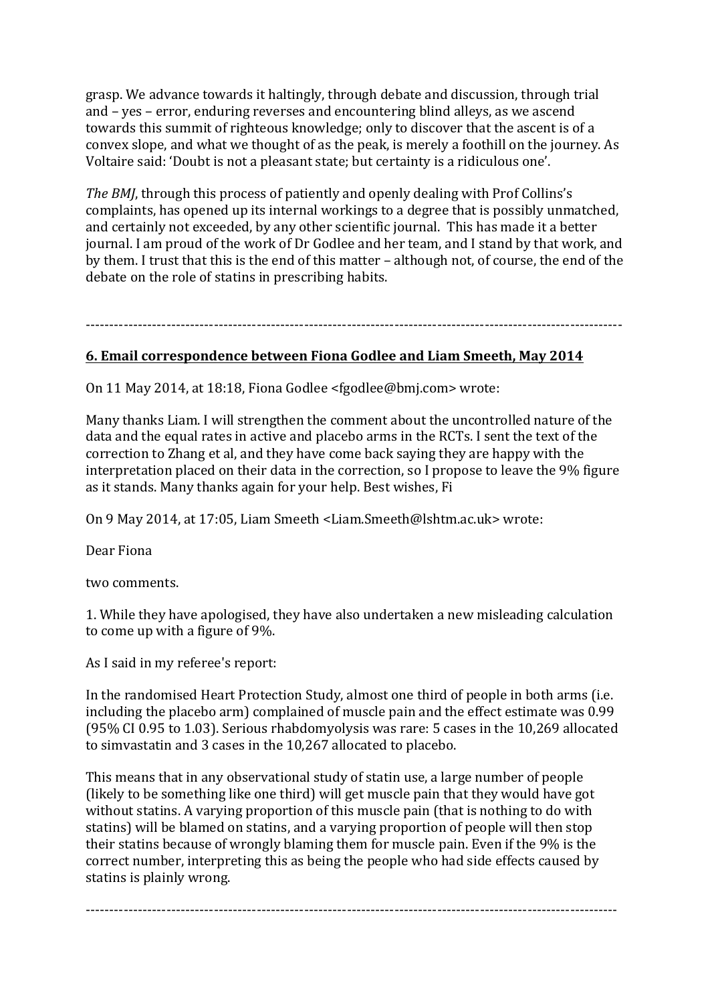grasp. We advance towards it haltingly, through debate and discussion, through trial and  $-$  yes  $-$  error, enduring reverses and encountering blind alleys, as we ascend towards this summit of righteous knowledge; only to discover that the ascent is of a convex slope, and what we thought of as the peak, is merely a foothill on the journey. As Voltaire said: 'Doubt is not a pleasant state; but certainty is a ridiculous one'.

*The BMJ*, through this process of patiently and openly dealing with Prof Collins's complaints, has opened up its internal workings to a degree that is possibly unmatched, and certainly not exceeded, by any other scientific journal. This has made it a better journal. I am proud of the work of Dr Godlee and her team, and I stand by that work, and by them. I trust that this is the end of this matter – although not, of course, the end of the debate on the role of statins in prescribing habits.

-----------------------------------------------------------------------------------------------------------------

#### **6. Email correspondence between Fiona Godlee and Liam Smeeth, May 2014**

On 11 May 2014, at 18:18, Fiona Godlee <fgodlee@bmj.com> wrote:

Many thanks Liam. I will strengthen the comment about the uncontrolled nature of the data and the equal rates in active and placebo arms in the RCTs. I sent the text of the correction to Zhang et al, and they have come back saying they are happy with the interpretation placed on their data in the correction, so I propose to leave the 9% figure as it stands. Many thanks again for your help. Best wishes, Fi

On 9 May 2014, at 17:05, Liam Smeeth <Liam.Smeeth@lshtm.ac.uk> wrote:

Dear Fiona

two comments.

1. While they have apologised, they have also undertaken a new misleading calculation to come up with a figure of 9%.

As I said in my referee's report:

In the randomised Heart Protection Study, almost one third of people in both arms (i.e. including the placebo arm) complained of muscle pain and the effect estimate was 0.99 (95% CI 0.95 to 1.03). Serious rhabdomyolysis was rare:  $5$  cases in the 10,269 allocated to simvastatin and 3 cases in the 10,267 allocated to placebo.

This means that in any observational study of statin use, a large number of people (likely to be something like one third) will get muscle pain that they would have got without statins. A varying proportion of this muscle pain (that is nothing to do with statins) will be blamed on statins, and a varying proportion of people will then stop their statins because of wrongly blaming them for muscle pain. Even if the 9% is the correct number, interpreting this as being the people who had side effects caused by statins is plainly wrong.

----------------------------------------------------------------------------------------------------------------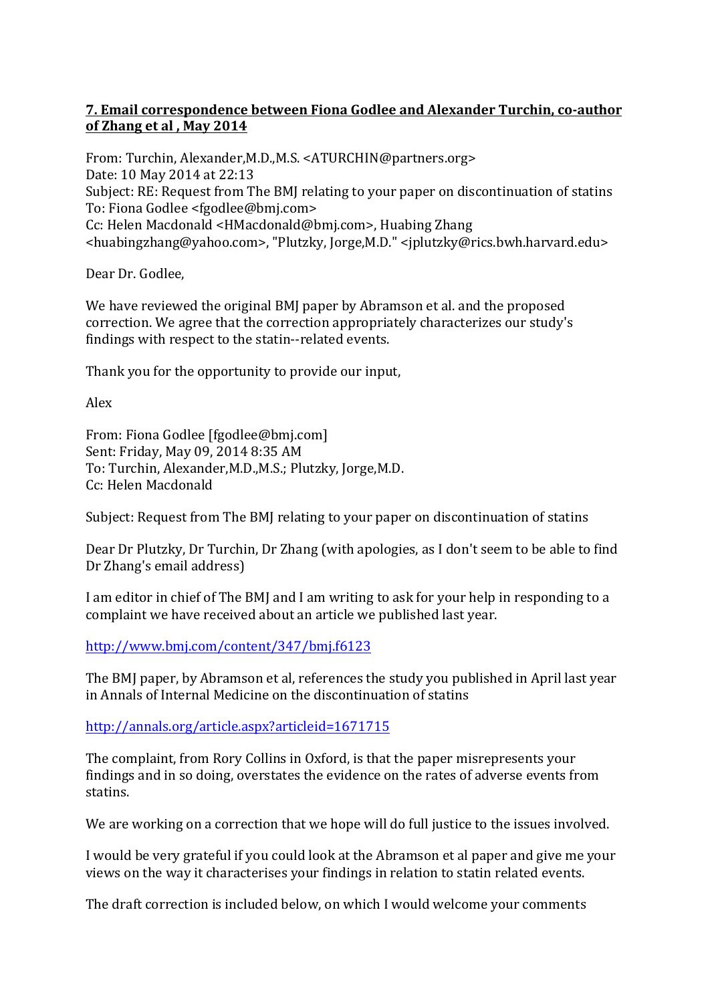#### **7. Email correspondence between Fiona Godlee and Alexander Turchin, co-author** of Zhang et al, May 2014

From: Turchin, Alexander, M.D., M.S. < ATURCHIN@partners.org> Date: 10 May 2014 at 22:13 Subject: RE: Request from The BMJ relating to your paper on discontinuation of statins To: Fiona Godlee <fgodlee@bmj.com> Cc: Helen Macdonald <HMacdonald@bmj.com>, Huabing Zhang <huabingzhang@yahoo.com>, "Plutzky, Jorge,M.D." <jplutzky@rics.bwh.harvard.edu>

Dear Dr. Godlee,

We have reviewed the original BMJ paper by Abramson et al. and the proposed correction. We agree that the correction appropriately characterizes our study's findings with respect to the statin--related events.

Thank you for the opportunity to provide our input,

Alex

From: Fiona Godlee [fgodlee@bmj.com] Sent: Friday, May 09, 2014 8:35 AM To: Turchin, Alexander, M.D., M.S.; Plutzky, Jorge, M.D. Cc: Helen Macdonald

Subject: Request from The BMJ relating to your paper on discontinuation of statins

Dear Dr Plutzky, Dr Turchin, Dr Zhang (with apologies, as I don't seem to be able to find Dr Zhang's email address)

I am editor in chief of The BMJ and I am writing to ask for your help in responding to a complaint we have received about an article we published last year.

http://www.bmj.com/content/347/bmj.f6123

The BMJ paper, by Abramson et al, references the study you published in April last year in Annals of Internal Medicine on the discontinuation of statins

#### http://annals.org/article.aspx?articleid=1671715

The complaint, from Rory Collins in Oxford, is that the paper misrepresents your findings and in so doing, overstates the evidence on the rates of adverse events from statins.

We are working on a correction that we hope will do full justice to the issues involved.

I would be very grateful if you could look at the Abramson et al paper and give me your views on the way it characterises your findings in relation to statin related events.

The draft correction is included below, on which I would welcome your comments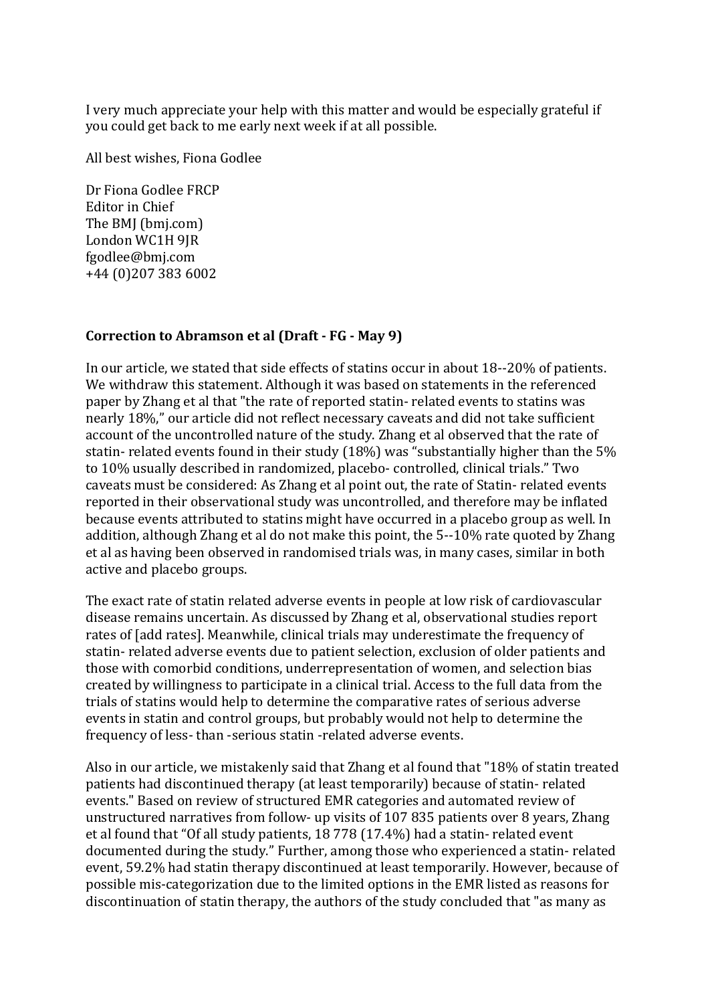I very much appreciate your help with this matter and would be especially grateful if you could get back to me early next week if at all possible.

All best wishes, Fiona Godlee

Dr Fiona Godlee FRCP Editor in Chief The BMI (bmj.com) London WC1H 9JR fgodlee@bmj.com +44 (0)207 383 6002

#### **Correction to Abramson et al (Draft - FG - May 9)**

In our article, we stated that side effects of statins occur in about 18--20% of patients. We withdraw this statement. Although it was based on statements in the referenced paper by Zhang et al that "the rate of reported statin- related events to statins was nearly 18%," our article did not reflect necessary caveats and did not take sufficient account of the uncontrolled nature of the study. Zhang et al observed that the rate of statin- related events found in their study  $(18%)$  was "substantially higher than the 5% to 10% usually described in randomized, placebo- controlled, clinical trials." Two caveats must be considered: As Zhang et al point out, the rate of Statin- related events reported in their observational study was uncontrolled, and therefore may be inflated because events attributed to statins might have occurred in a placebo group as well. In addition, although Zhang et al do not make this point, the 5--10% rate quoted by Zhang et al as having been observed in randomised trials was, in many cases, similar in both active and placebo groups.

The exact rate of statin related adverse events in people at low risk of cardiovascular disease remains uncertain. As discussed by Zhang et al, observational studies report rates of [add rates]. Meanwhile, clinical trials may underestimate the frequency of statin- related adverse events due to patient selection, exclusion of older patients and those with comorbid conditions, underrepresentation of women, and selection bias created by willingness to participate in a clinical trial. Access to the full data from the trials of statins would help to determine the comparative rates of serious adverse events in statin and control groups, but probably would not help to determine the frequency of less- than -serious statin -related adverse events.

Also in our article, we mistakenly said that Zhang et al found that "18% of statin treated patients had discontinued therapy (at least temporarily) because of statin- related events." Based on review of structured EMR categories and automated review of unstructured narratives from follow- up visits of 107 835 patients over 8 years, Zhang et al found that "Of all study patients, 18 778 (17.4%) had a statin- related event documented during the study." Further, among those who experienced a statin- related event, 59.2% had statin therapy discontinued at least temporarily. However, because of possible mis-categorization due to the limited options in the EMR listed as reasons for discontinuation of statin therapy, the authors of the study concluded that "as many as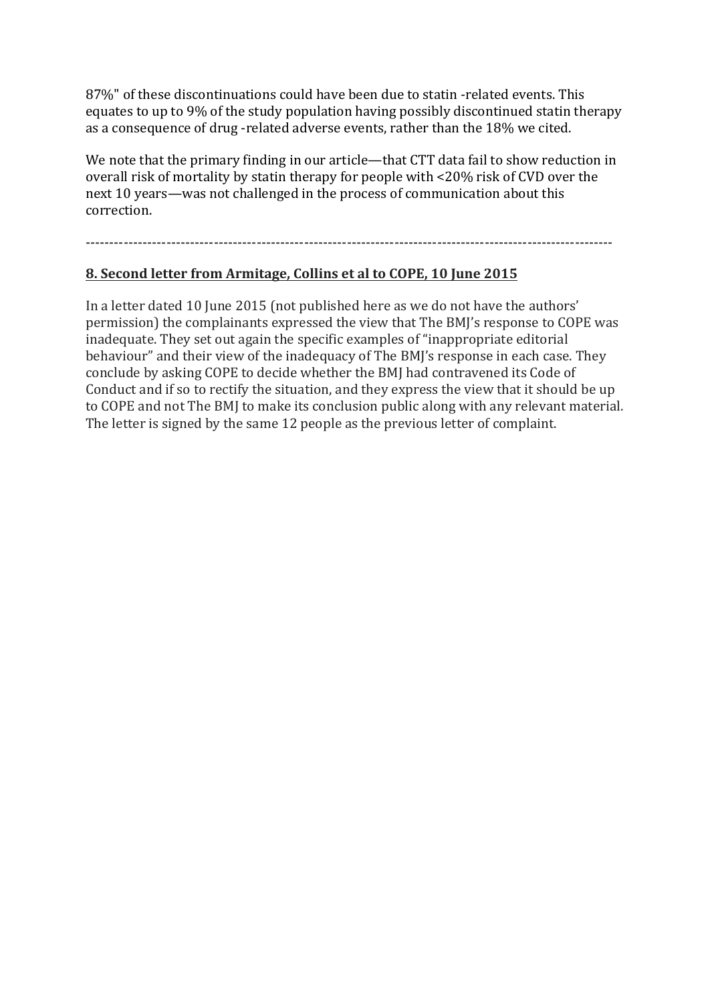87%" of these discontinuations could have been due to statin -related events. This equates to up to 9% of the study population having possibly discontinued statin therapy as a consequence of drug -related adverse events, rather than the 18% we cited.

We note that the primary finding in our article—that CTT data fail to show reduction in overall risk of mortality by statin therapy for people with <20% risk of CVD over the next 10 years—was not challenged in the process of communication about this correction.

---------------------------------------------------------------------------------------------------------------

#### **8. Second letter from Armitage, Collins et al to COPE, 10 June 2015**

In a letter dated 10 June 2015 (not published here as we do not have the authors' permission) the complainants expressed the view that The BMJ's response to COPE was inadequate. They set out again the specific examples of "inappropriate editorial behaviour" and their view of the inadequacy of The BMJ's response in each case. They conclude by asking COPE to decide whether the BMJ had contravened its Code of Conduct and if so to rectify the situation, and they express the view that it should be up to COPE and not The BMJ to make its conclusion public along with any relevant material. The letter is signed by the same 12 people as the previous letter of complaint.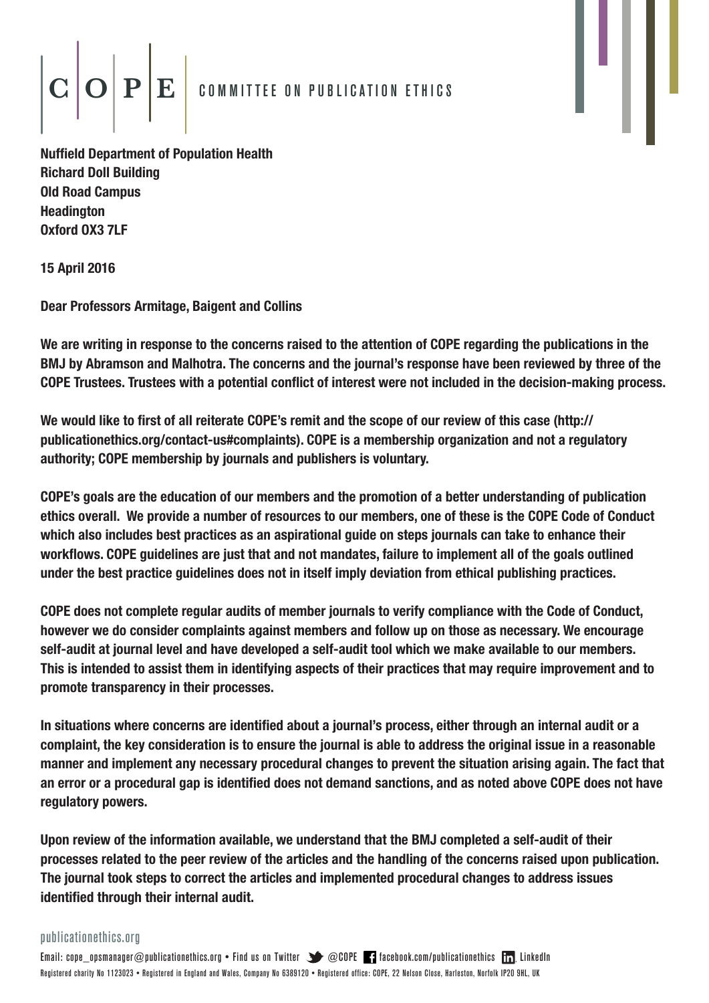# $\left|\mathbf{C}\middle|\mathbf{O}\middle|\mathbf{P}\middle|\mathbf{E}\right|$  committee on publication ethics

Nuffield Department of Population Health Richard Doll Building Old Road Campus Headington Oxford OX3 7LF

15 April 2016

Dear Professors Armitage, Baigent and Collins

We are writing in response to the concerns raised to the attention of COPE regarding the publications in the BMJ by Abramson and Malhotra. The concerns and the journal's response have been reviewed by three of the COPE Trustees. Trustees with a potential conflict of interest were not included in the decision-making process.

We would like to first of all reiterate COPE's remit and the scope of our review of this case (http:// publicationethics.org/contact-us#complaints). COPE is a membership organization and not a regulatory authority; COPE membership by journals and publishers is voluntary.

COPE's goals are the education of our members and the promotion of a better understanding of publication ethics overall. We provide a number of resources to our members, one of these is the COPE Code of Conduct which also includes best practices as an aspirational guide on steps journals can take to enhance their workflows. COPE guidelines are just that and not mandates, failure to implement all of the goals outlined under the best practice guidelines does not in itself imply deviation from ethical publishing practices.

COPE does not complete regular audits of member journals to verify compliance with the Code of Conduct, however we do consider complaints against members and follow up on those as necessary. We encourage self-audit at journal level and have developed a self-audit tool which we make available to our members. This is intended to assist them in identifying aspects of their practices that may require improvement and to promote transparency in their processes.

In situations where concerns are identified about a journal's process, either through an internal audit or a complaint, the key consideration is to ensure the journal is able to address the original issue in a reasonable manner and implement any necessary procedural changes to prevent the situation arising again. The fact that an error or a procedural gap is identified does not demand sanctions, and as noted above COPE does not have regulatory powers.

Upon review of the information available, we understand that the BMJ completed a self-audit of their processes related to the peer review of the articles and the handling of the concerns raised upon publication. The journal took steps to correct the articles and implemented procedural changes to address issues identified through their internal audit.

publicationethics.org